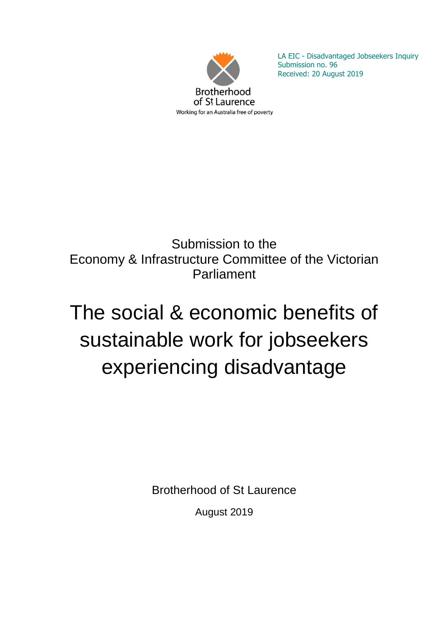

LA EIC - Disadvantaged Jobseekers Inquiry Submission no. 96 Received: 20 August 2019

# Submission to the Economy & Infrastructure Committee of the Victorian Parliament

# The social & economic benefits of sustainable work for jobseekers experiencing disadvantage

Brotherhood of St Laurence

August 2019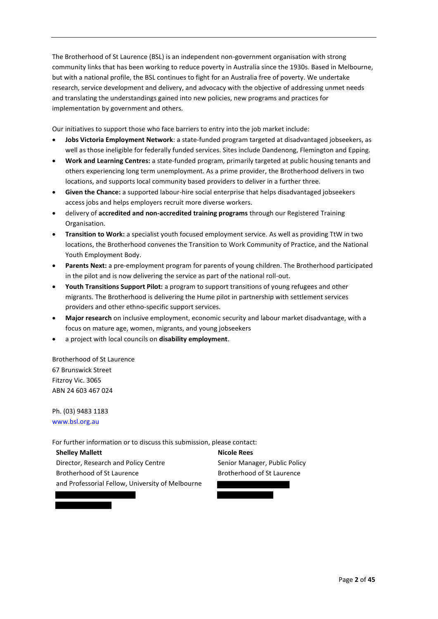The Brotherhood of St Laurence (BSL) is an independent non-government organisation with strong community links that has been working to reduce poverty in Australia since the 1930s. Based in Melbourne, but with a national profile, the BSL continues to fight for an Australia free of poverty. We undertake research, service development and delivery, and advocacy with the objective of addressing unmet needs and translating the understandings gained into new policies, new programs and practices for implementation by government and others.

Our initiatives to support those who face barriers to entry into the job market include:

- **Jobs Victoria Employment Network**: a state-funded program targeted at disadvantaged jobseekers, as well as those ineligible for federally funded services. Sites include Dandenong, Flemington and Epping.
- **Work and Learning Centres:** a state-funded program, primarily targeted at public housing tenants and others experiencing long term unemployment. As a prime provider, the Brotherhood delivers in two locations, and supports local community based providers to deliver in a further three.
- **Given the Chance:** a supported labour-hire social enterprise that helps disadvantaged jobseekers access jobs and helps employers recruit more diverse workers.
- delivery of **accredited and non-accredited training programs** through our Registered Training Organisation.
- **Transition to Work:** a specialist youth focused employment service. As well as providing TtW in two locations, the Brotherhood convenes the Transition to Work Community of Practice, and the National Youth Employment Body.
- **Parents Next:** a pre-employment program for parents of young children. The Brotherhood participated in the pilot and is now delivering the service as part of the national roll-out.
- **Youth Transitions Support Pilot:** a program to support transitions of young refugees and other migrants. The Brotherhood is delivering the Hume pilot in partnership with settlement services providers and other ethno-specific support services.
- **Major research** on inclusive employment, economic security and labour market disadvantage, with a focus on mature age, women, migrants, and young jobseekers
- a project with local councils on **disability employment**.

Brotherhood of St Laurence 67 Brunswick Street Fitzroy Vic. 3065 ABN 24 603 467 024

Ph. (03) 9483 1183 www.bsl.org.au

For further information or to discuss this submission, please contact:

**Shelley Mallett** Director, Research and Policy Centre Brotherhood of St Laurence and Professorial Fellow, University of Melbourne

**Nicole Rees** Senior Manager, Public Policy Brotherhood of St Laurence

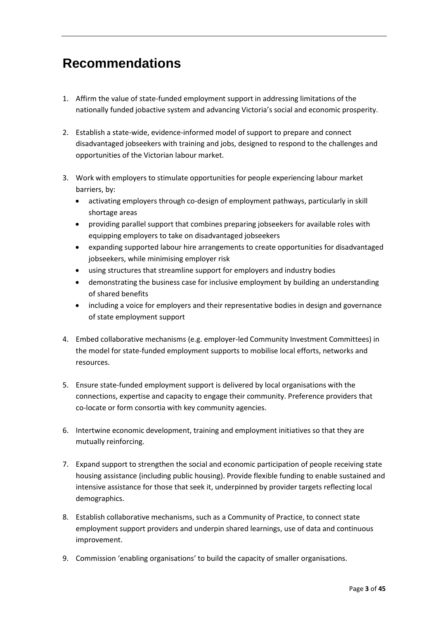# **Recommendations**

- 1. Affirm the value of state-funded employment support in addressing limitations of the nationally funded jobactive system and advancing Victoria's social and economic prosperity.
- 2. Establish a state-wide, evidence-informed model of support to prepare and connect disadvantaged jobseekers with training and jobs, designed to respond to the challenges and opportunities of the Victorian labour market.
- 3. Work with employers to stimulate opportunities for people experiencing labour market barriers, by:
	- activating employers through co-design of employment pathways, particularly in skill shortage areas
	- providing parallel support that combines preparing jobseekers for available roles with equipping employers to take on disadvantaged jobseekers
	- expanding supported labour hire arrangements to create opportunities for disadvantaged jobseekers, while minimising employer risk
	- using structures that streamline support for employers and industry bodies
	- demonstrating the business case for inclusive employment by building an understanding of shared benefits
	- including a voice for employers and their representative bodies in design and governance of state employment support
- 4. Embed collaborative mechanisms (e.g. employer-led Community Investment Committees) in the model for state-funded employment supports to mobilise local efforts, networks and resources.
- 5. Ensure state-funded employment support is delivered by local organisations with the connections, expertise and capacity to engage their community. Preference providers that co-locate or form consortia with key community agencies.
- 6. Intertwine economic development, training and employment initiatives so that they are mutually reinforcing.
- 7. Expand support to strengthen the social and economic participation of people receiving state housing assistance (including public housing). Provide flexible funding to enable sustained and intensive assistance for those that seek it, underpinned by provider targets reflecting local demographics.
- 8. Establish collaborative mechanisms, such as a Community of Practice, to connect state employment support providers and underpin shared learnings, use of data and continuous improvement.
- 9. Commission 'enabling organisations' to build the capacity of smaller organisations.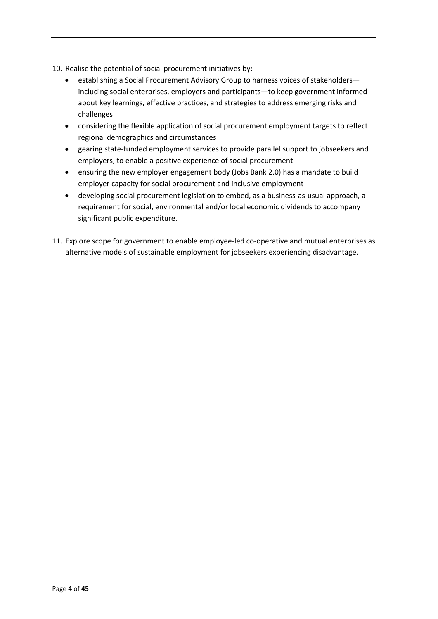- 10. Realise the potential of social procurement initiatives by:
	- establishing a Social Procurement Advisory Group to harness voices of stakeholders including social enterprises, employers and participants—to keep government informed about key learnings, effective practices, and strategies to address emerging risks and challenges
	- considering the flexible application of social procurement employment targets to reflect regional demographics and circumstances
	- gearing state-funded employment services to provide parallel support to jobseekers and employers, to enable a positive experience of social procurement
	- ensuring the new employer engagement body (Jobs Bank 2.0) has a mandate to build employer capacity for social procurement and inclusive employment
	- developing social procurement legislation to embed, as a business-as-usual approach, a requirement for social, environmental and/or local economic dividends to accompany significant public expenditure.
- 11. Explore scope for government to enable employee-led co-operative and mutual enterprises as alternative models of sustainable employment for jobseekers experiencing disadvantage.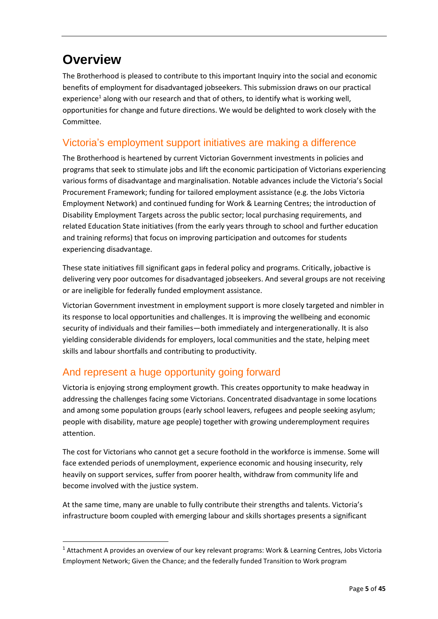# **Overview**

1

The Brotherhood is pleased to contribute to this important Inquiry into the social and economic benefits of employment for disadvantaged jobseekers. This submission draws on our practical experience<sup>1</sup> along with our research and that of others, to identify what is working well, opportunities for change and future directions. We would be delighted to work closely with the Committee.

# Victoria's employment support initiatives are making a difference

The Brotherhood is heartened by current Victorian Government investments in policies and programs that seek to stimulate jobs and lift the economic participation of Victorians experiencing various forms of disadvantage and marginalisation. Notable advances include the Victoria's Social Procurement Framework; funding for tailored employment assistance (e.g. the Jobs Victoria Employment Network) and continued funding for Work & Learning Centres; the introduction of Disability Employment Targets across the public sector; local purchasing requirements, and related Education State initiatives (from the early years through to school and further education and training reforms) that focus on improving participation and outcomes for students experiencing disadvantage.

These state initiatives fill significant gaps in federal policy and programs. Critically, jobactive is delivering very poor outcomes for disadvantaged jobseekers. And several groups are not receiving or are ineligible for federally funded employment assistance.

Victorian Government investment in employment support is more closely targeted and nimbler in its response to local opportunities and challenges. It is improving the wellbeing and economic security of individuals and their families—both immediately and intergenerationally. It is also yielding considerable dividends for employers, local communities and the state, helping meet skills and labour shortfalls and contributing to productivity.

# And represent a huge opportunity going forward

Victoria is enjoying strong employment growth. This creates opportunity to make headway in addressing the challenges facing some Victorians. Concentrated disadvantage in some locations and among some population groups (early school leavers, refugees and people seeking asylum; people with disability, mature age people) together with growing underemployment requires attention.

The cost for Victorians who cannot get a secure foothold in the workforce is immense. Some will face extended periods of unemployment, experience economic and housing insecurity, rely heavily on support services, suffer from poorer health, withdraw from community life and become involved with the justice system.

At the same time, many are unable to fully contribute their strengths and talents. Victoria's infrastructure boom coupled with emerging labour and skills shortages presents a significant

<sup>&</sup>lt;sup>1</sup> Attachment A provides an overview of our key relevant programs: Work & Learning Centres, Jobs Victoria Employment Network; Given the Chance; and the federally funded Transition to Work program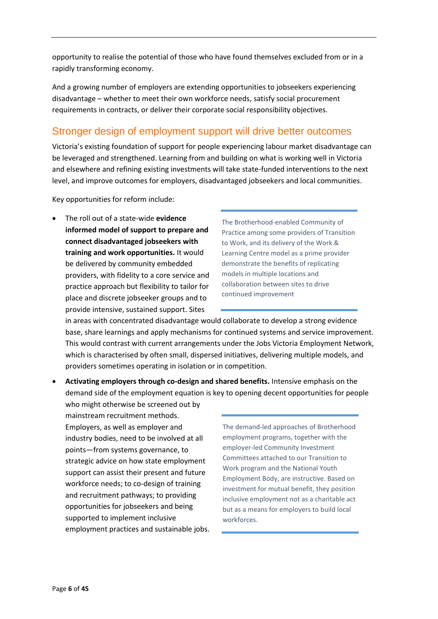opportunity to realise the potential of those who have found themselves excluded from or in a rapidly transforming economy.

And a growing number of employers are extending opportunities to jobseekers experiencing disadvantage – whether to meet their own workforce needs, satisfy social procurement requirements in contracts, or deliver their corporate social responsibility objectives.

# Stronger design of employment support will drive better outcomes

Victoria's existing foundation of support for people experiencing labour market disadvantage can be leveraged and strengthened. Learning from and building on what is working well in Victoria and elsewhere and refining existing investments will take state-funded interventions to the next level, and improve outcomes for employers, disadvantaged jobseekers and local communities.

Key opportunities for reform include:

 The roll out of a state-wide **evidence informed model of support to prepare and connect disadvantaged jobseekers with training and work opportunities.** It would be delivered by community embedded providers, with fidelity to a core service and practice approach but flexibility to tailor for place and discrete jobseeker groups and to provide intensive, sustained support. Sites

The Brotherhood-enabled Community of Practice among some providers of Transition to Work, and its delivery of the Work & Learning Centre model as a prime provider demonstrate the benefits of replicating models in multiple locations and collaboration between sites to drive continued improvement

in areas with concentrated disadvantage would collaborate to develop a strong evidence base, share learnings and apply mechanisms for continued systems and service improvement. This would contrast with current arrangements under the Jobs Victoria Employment Network, which is characterised by often small, dispersed initiatives, delivering multiple models, and providers sometimes operating in isolation or in competition.

 **Activating employers through co-design and shared benefits.** Intensive emphasis on the demand side of the employment equation is key to opening decent opportunities for people who might otherwise be screened out by

mainstream recruitment methods. Employers, as well as employer and industry bodies, need to be involved at all points—from systems governance, to strategic advice on how state employment support can assist their present and future workforce needs; to co-design of training and recruitment pathways; to providing opportunities for jobseekers and being supported to implement inclusive employment practices and sustainable jobs.

The demand-led approaches of Brotherhood employment programs, together with the employer-led Community Investment Committees attached to our Transition to Work program and the National Youth Employment Body, are instructive. Based on investment for mutual benefit, they position inclusive employment not as a charitable act but as a means for employers to build local workforces.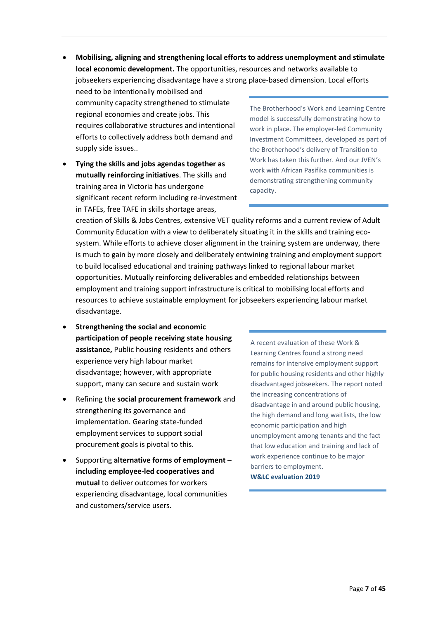**Mobilising, aligning and strengthening local efforts to address unemployment and stimulate local economic development.** The opportunities, resources and networks available to jobseekers experiencing disadvantage have a strong place-based dimension. Local efforts

need to be intentionally mobilised and community capacity strengthened to stimulate regional economies and create jobs. This requires collaborative structures and intentional efforts to collectively address both demand and supply side issues..

 **Tying the skills and jobs agendas together as mutually reinforcing initiatives**. The skills and training area in Victoria has undergone significant recent reform including re-investment in TAFEs, free TAFE in skills shortage areas,

The Brotherhood's Work and Learning Centre model is successfully demonstrating how to work in place. The employer-led Community Investment Committees, developed as part of the Brotherhood's delivery of Transition to Work has taken this further. And our JVEN's work with African Pasifika communities is demonstrating strengthening community capacity.

creation of Skills & Jobs Centres, extensive VET quality reforms and a current review of Adult Community Education with a view to deliberately situating it in the skills and training ecosystem. While efforts to achieve closer alignment in the training system are underway, there is much to gain by more closely and deliberately entwining training and employment support to build localised educational and training pathways linked to regional labour market opportunities. Mutually reinforcing deliverables and embedded relationships between employment and training support infrastructure is critical to mobilising local efforts and resources to achieve sustainable employment for jobseekers experiencing labour market disadvantage.

- **Strengthening the social and economic participation of people receiving state housing assistance,** Public housing residents and others experience very high labour market disadvantage; however, with appropriate support, many can secure and sustain work
- Refining the **social procurement framework** and strengthening its governance and implementation. Gearing state-funded employment services to support social procurement goals is pivotal to this.
- Supporting **alternative forms of employment – including employee-led cooperatives and mutual** to deliver outcomes for workers experiencing disadvantage, local communities and customers/service users.

A recent evaluation of these Work & Learning Centres found a strong need remains for intensive employment support for public housing residents and other highly disadvantaged jobseekers. The report noted the increasing concentrations of disadvantage in and around public housing, the high demand and long waitlists, the low economic participation and high unemployment among tenants and the fact that low education and training and lack of work experience continue to be major barriers to employment. **W&LC evaluation 2019**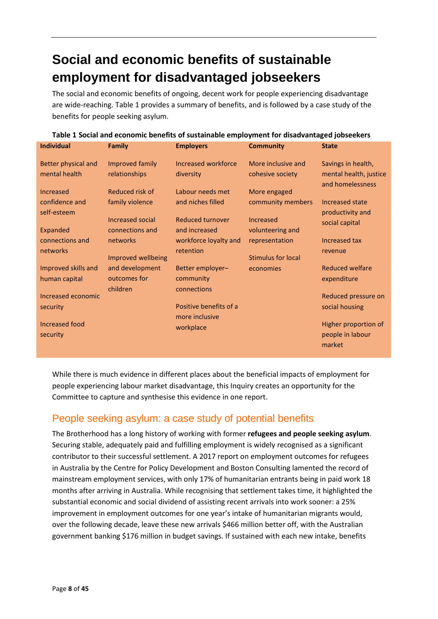# **Social and economic benefits of sustainable employment for disadvantaged jobseekers**

The social and economic benefits of ongoing, decent work for people experiencing disadvantage are wide-reaching. Table 1 provides a summary of benefits, and is followed by a case study of the benefits for people seeking asylum.

| <b>Individual</b>                          | <b>Family</b>                                          | <b>Employers</b>                                          | <b>Community</b>                               | <b>State</b>                                                     |
|--------------------------------------------|--------------------------------------------------------|-----------------------------------------------------------|------------------------------------------------|------------------------------------------------------------------|
| Better physical and<br>mental health       | Improved family<br>relationships                       | Increased workforce<br>diversity                          | More inclusive and<br>cohesive society         | Savings in health,<br>mental health, justice<br>and homelessness |
| Increased<br>confidence and<br>self-esteem | Reduced risk of<br>family violence<br>Increased social | Labour needs met<br>and niches filled<br>Reduced turnover | More engaged<br>community members<br>Increased | Increased state<br>productivity and                              |
| Expanded<br>connections and                | connections and<br>networks                            | and increased<br>workforce loyalty and                    | volunteering and<br>representation             | social capital<br>Increased tax                                  |
| networks                                   | Improved wellbeing                                     | retention                                                 | <b>Stimulus for local</b>                      | revenue                                                          |
| Improved skills and<br>human capital       | and development<br>outcomes for<br>children            | Better employer-<br>community<br>connections              | economies                                      | <b>Reduced welfare</b><br>expenditure                            |
| Increased economic<br>security             |                                                        | Positive benefits of a<br>more inclusive                  |                                                | Reduced pressure on<br>social housing                            |
| Increased food<br>security                 |                                                        | workplace                                                 |                                                | Higher proportion of<br>people in labour<br>market               |

**Table 1 Social and economic benefits of sustainable employment for disadvantaged jobseekers** 

While there is much evidence in different places about the beneficial impacts of employment for people experiencing labour market disadvantage, this Inquiry creates an opportunity for the Committee to capture and synthesise this evidence in one report.

# People seeking asylum: a case study of potential benefits

The Brotherhood has a long history of working with former **refugees and people seeking asylum**. Securing stable, adequately paid and fulfilling employment is widely recognised as a significant contributor to their successful settlement. A 2017 report on employment outcomes for refugees in Australia by the Centre for Policy Development and Boston Consulting lamented the record of mainstream employment services, with only 17% of humanitarian entrants being in paid work 18 months after arriving in Australia. While recognising that settlement takes time, it highlighted the substantial economic and social dividend of assisting recent arrivals into work sooner: a 25% improvement in employment outcomes for one year's intake of humanitarian migrants would, over the following decade, leave these new arrivals \$466 million better off, with the Australian government banking \$176 million in budget savings. If sustained with each new intake, benefits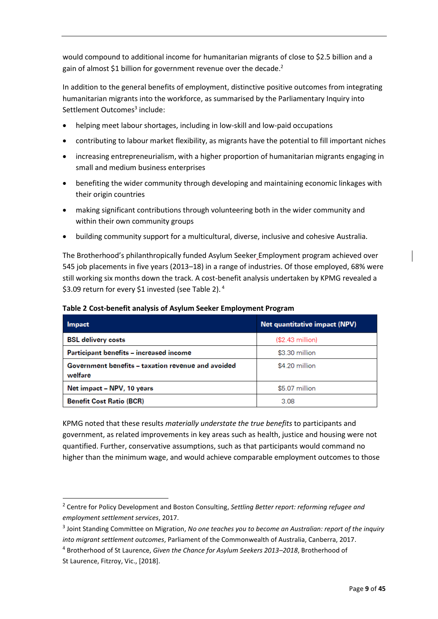would compound to additional income for humanitarian migrants of close to \$2.5 billion and a gain of almost \$1 billion for government revenue over the decade.<sup>2</sup>

In addition to the general benefits of employment, distinctive positive outcomes from integrating humanitarian migrants into the workforce, as summarised by the Parliamentary Inquiry into Settlement Outcomes<sup>3</sup> include:

- helping meet labour shortages, including in low-skill and low-paid occupations
- contributing to labour market flexibility, as migrants have the potential to fill important niches
- increasing entrepreneurialism, with a higher proportion of humanitarian migrants engaging in small and medium business enterprises
- benefiting the wider community through developing and maintaining economic linkages with their origin countries
- making significant contributions through volunteering both in the wider community and within their own community groups
- building community support for a multicultural, diverse, inclusive and cohesive Australia.

The Brotherhood's philanthropically funded Asylum Seeker Employment program achieved over 545 job placements in five years (2013–18) in a range of industries. Of those employed, 68% were still working six months down the track. A cost-benefit analysis undertaken by KPMG revealed a \$3.09 return for every \$1 invested (see Table 2).<sup>4</sup>

| <b>Impact</b>                                                 | Net quantitative impact (NPV) |
|---------------------------------------------------------------|-------------------------------|
| <b>BSL delivery costs</b>                                     | (\$2.43 million)              |
| Participant benefits – increased income                       | \$3.30 million                |
| Government benefits - taxation revenue and avoided<br>welfare | \$4.20 million                |
| Net impact - NPV, 10 years                                    | \$5.07 million                |
| <b>Benefit Cost Ratio (BCR)</b>                               | 3.08                          |

KPMG noted that these results *materially understate the true benefits* to participants and government, as related improvements in key areas such as health, justice and housing were not quantified. Further, conservative assumptions, such as that participants would command no higher than the minimum wage, and would achieve comparable employment outcomes to those

1

<sup>2</sup> Centre for Policy Development and Boston Consulting, *Settling Better report: reforming refugee and employment settlement services*, 2017.

<sup>3</sup> Joint Standing Committee on Migration, *No one teaches you to become an Australian: report of the inquiry into migrant settlement outcomes*, Parliament of the Commonwealth of Australia, Canberra, 2017.

<sup>4</sup> Brotherhood of St Laurence, *Given the Chance for Asylum Seekers 2013–2018*, Brotherhood of St Laurence, Fitzroy, Vic., [2018].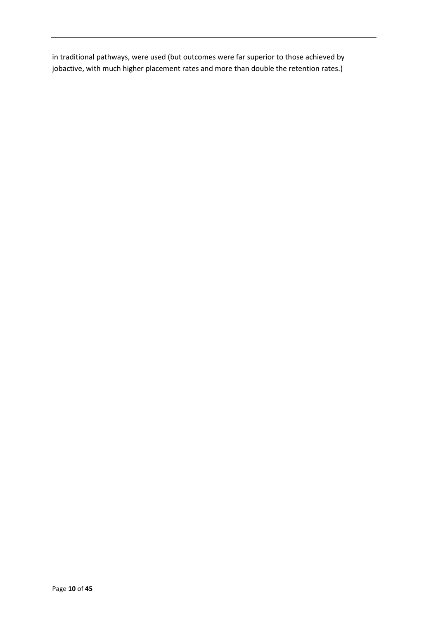in traditional pathways, were used (but outcomes were far superior to those achieved by jobactive, with much higher placement rates and more than double the retention rates.)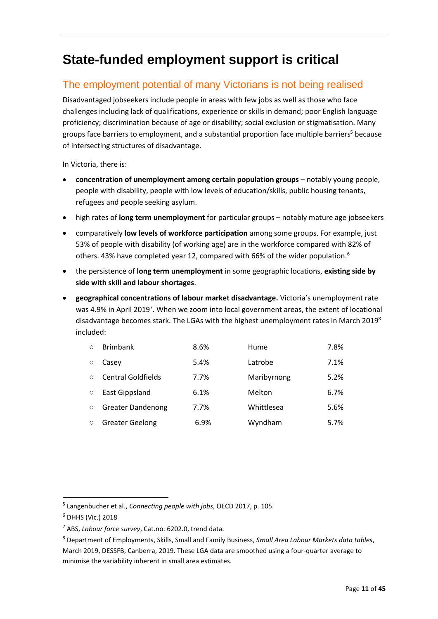# **State-funded employment support is critical**

# The employment potential of many Victorians is not being realised

Disadvantaged jobseekers include people in areas with few jobs as well as those who face challenges including lack of qualifications, experience or skills in demand; poor English language proficiency; discrimination because of age or disability; social exclusion or stigmatisation. Many groups face barriers to employment, and a substantial proportion face multiple barriers <sup>5</sup> because of intersecting structures of disadvantage.

In Victoria, there is:

- **concentration of unemployment among certain population groups** notably young people, people with disability, people with low levels of education/skills, public housing tenants, refugees and people seeking asylum.
- high rates of **long term unemployment** for particular groups notably mature age jobseekers
- comparatively **low levels of workforce participation** among some groups. For example, just 53% of people with disability (of working age) are in the workforce compared with 82% of others. 43% have completed year 12, compared with 66% of the wider population.<sup>6</sup>
- the persistence of **long term unemployment** in some geographic locations, **existing side by side with skill and labour shortages**.
- **geographical concentrations of labour market disadvantage.** Victoria's unemployment rate was 4.9% in April 2019<sup>7</sup>. When we zoom into local government areas, the extent of locational disadvantage becomes stark. The LGAs with the highest unemployment rates in March 2019 $^8$ included:

| $\bigcirc$ | <b>Brimbank</b>           | 8.6% | Hume        | 7.8% |
|------------|---------------------------|------|-------------|------|
| $\Omega$   | Casey                     | 5.4% | Latrobe     | 7.1% |
| $\bigcap$  | <b>Central Goldfields</b> | 7.7% | Maribyrnong | 5.2% |
| $\bigcirc$ | East Gippsland            | 6.1% | Melton      | 6.7% |
| $\bigcirc$ | <b>Greater Dandenong</b>  | 7.7% | Whittlesea  | 5.6% |
| $\circ$    | <b>Greater Geelong</b>    | 6.9% | Wyndham     | 5.7% |

1

<sup>5</sup> Langenbucher et al., *Connecting people with jobs*, OECD 2017, p. 105.

<sup>6</sup> DHHS (Vic.) 2018

<sup>7</sup> ABS, *Labour force survey*, Cat.no. 6202.0, trend data.

<sup>8</sup> Department of Employments, Skills, Small and Family Business, *Small Area Labour Markets data tables*, March 2019, DESSFB, Canberra, 2019. These LGA data are smoothed using a four-quarter average to minimise the variability inherent in small area estimates.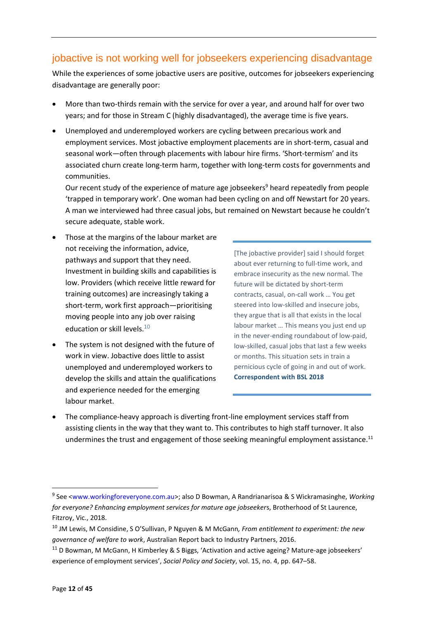# jobactive is not working well for jobseekers experiencing disadvantage

While the experiences of some jobactive users are positive, outcomes for jobseekers experiencing disadvantage are generally poor:

- More than two-thirds remain with the service for over a year, and around half for over two years; and for those in Stream C (highly disadvantaged), the average time is five years.
- Unemployed and underemployed workers are cycling between precarious work and employment services. Most jobactive employment placements are in short-term, casual and seasonal work—often through placements with labour hire firms. 'Short-termism' and its associated churn create long-term harm, together with long-term costs for governments and communities.

Our recent study of the experience of mature age jobseekers<sup>9</sup> heard repeatedly from people 'trapped in temporary work'. One woman had been cycling on and off Newstart for 20 years. A man we interviewed had three casual jobs, but remained on Newstart because he couldn't secure adequate, stable work.

- Those at the margins of the labour market are not receiving the information, advice, pathways and support that they need. Investment in building skills and capabilities is low. Providers (which receive little reward for training outcomes) are increasingly taking a short-term, work first approach—prioritising moving people into any job over raising education or skill levels. $^{10}$
- The system is not designed with the future of work in view. Jobactive does little to assist unemployed and underemployed workers to develop the skills and attain the qualifications and experience needed for the emerging labour market.

[The jobactive provider] said I should forget about ever returning to full-time work, and embrace insecurity as the new normal. The future will be dictated by short-term contracts, casual, on-call work … You get steered into low-skilled and insecure jobs, they argue that is all that exists in the local labour market … This means you just end up in the never-ending roundabout of low-paid, low-skilled, casual jobs that last a few weeks or months. This situation sets in train a pernicious cycle of going in and out of work. **Correspondent with BSL 2018**

 The compliance-heavy approach is diverting front-line employment services staff from assisting clients in the way that they want to. This contributes to high staff turnover. It also undermines the trust and engagement of those seeking meaningful employment assistance.<sup>11</sup>

<sup>9</sup> See [<www.workingforeveryone.com.au>](http://www.workingforeveryone.com.au/); also D Bowman, A Randrianarisoa & S Wickramasinghe, *Working for everyone? Enhancing employment services for mature age jobseeker*s, Brotherhood of St Laurence, Fitzroy, Vic., 2018.

<sup>10</sup> JM Lewis, M Considine, S O'Sullivan, P Nguyen & M McGann*, From entitlement to experiment: the new governance of welfare to work*, Australian Report back to Industry Partners, 2016.

<sup>&</sup>lt;sup>11</sup> D Bowman, M McGann, H Kimberley & S Biggs, 'Activation and active ageing? Mature-age jobseekers' experience of employment services', *Social Policy and Society*, vol. 15, no. 4, pp. 647–58.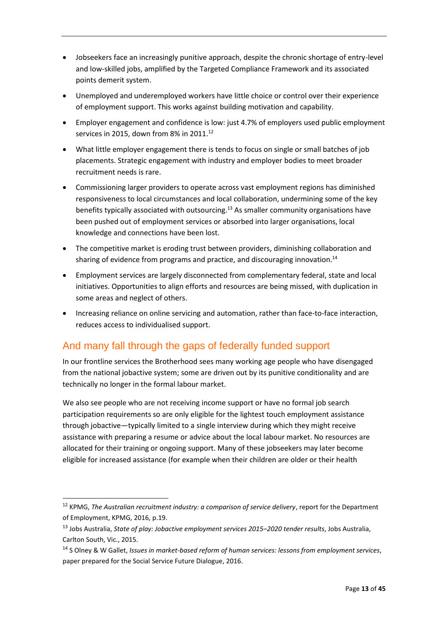- Jobseekers face an increasingly punitive approach, despite the chronic shortage of entry-level and low-skilled jobs, amplified by the Targeted Compliance Framework and its associated points demerit system.
- Unemployed and underemployed workers have little choice or control over their experience of employment support. This works against building motivation and capability.
- Employer engagement and confidence is low: just 4.7% of employers used public employment services in 2015, down from 8% in 2011.<sup>12</sup>
- What little employer engagement there is tends to focus on single or small batches of job placements. Strategic engagement with industry and employer bodies to meet broader recruitment needs is rare.
- Commissioning larger providers to operate across vast employment regions has diminished responsiveness to local circumstances and local collaboration, undermining some of the key benefits typically associated with outsourcing.<sup>13</sup> As smaller community organisations have been pushed out of employment services or absorbed into larger organisations, local knowledge and connections have been lost.
- The competitive market is eroding trust between providers, diminishing collaboration and sharing of evidence from programs and practice, and discouraging innovation.<sup>14</sup>
- Employment services are largely disconnected from complementary federal, state and local initiatives. Opportunities to align efforts and resources are being missed, with duplication in some areas and neglect of others.
- Increasing reliance on online servicing and automation, rather than face-to-face interaction, reduces access to individualised support.

# And many fall through the gaps of federally funded support

In our frontline services the Brotherhood sees many working age people who have disengaged from the national jobactive system; some are driven out by its punitive conditionality and are technically no longer in the formal labour market.

We also see people who are not receiving income support or have no formal job search participation requirements so are only eligible for the lightest touch employment assistance through jobactive—typically limited to a single interview during which they might receive assistance with preparing a resume or advice about the local labour market. No resources are allocated for their training or ongoing support. Many of these jobseekers may later become eligible for increased assistance (for example when their children are older or their health

1

<sup>12</sup> KPMG, *The Australian recruitment industry: a comparison of service delivery*, report for the Department of Employment, KPMG, 2016, p.19.

<sup>13</sup> Jobs Australia, *State of play: Jobactive employment services 2015–2020 tender results*, Jobs Australia, Carlton South, Vic., 2015.

<sup>14</sup> S Olney & W Gallet, *Issues in market-based reform of human services: lessons from employment services*, paper prepared for the Social Service Future Dialogue, 2016.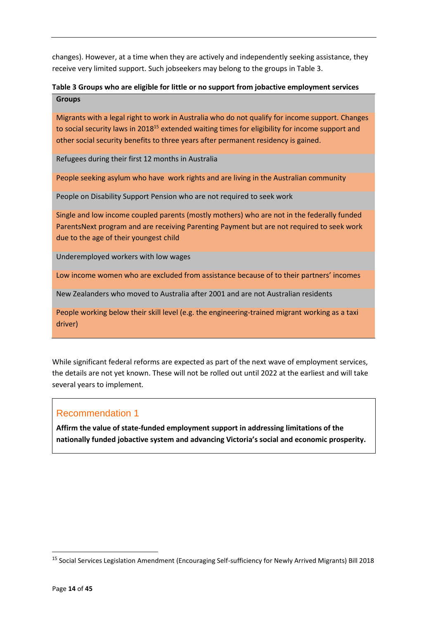changes). However, at a time when they are actively and independently seeking assistance, they receive very limited support. Such jobseekers may belong to the groups in Table 3.

#### **Table 3 Groups who are eligible for little or no support from jobactive employment services Groups**

Migrants with a legal right to work in Australia who do not qualify for income support. Changes to social security laws in 2018<sup>15</sup> extended waiting times for eligibility for income support and other social security benefits to three years after permanent residency is gained.

Refugees during their first 12 months in Australia

People seeking asylum who have work rights and are living in the Australian community

People on Disability Support Pension who are not required to seek work

Single and low income coupled parents (mostly mothers) who are not in the federally funded ParentsNext program and are receiving Parenting Payment but are not required to seek work due to the age of their youngest child

Underemployed workers with low wages

Low income women who are excluded from assistance because of to their partners' incomes

New Zealanders who moved to Australia after 2001 and are not Australian residents

People working below their skill level (e.g. the engineering-trained migrant working as a taxi driver)

While significant federal reforms are expected as part of the next wave of employment services, the details are not yet known. These will not be rolled out until 2022 at the earliest and will take several years to implement.

### Recommendation 1

**Affirm the value of state-funded employment support in addressing limitations of the nationally funded jobactive system and advancing Victoria's social and economic prosperity.**

<sup>&</sup>lt;sup>15</sup> Social Services Legislation Amendment (Encouraging Self-sufficiency for Newly Arrived Migrants) Bill 2018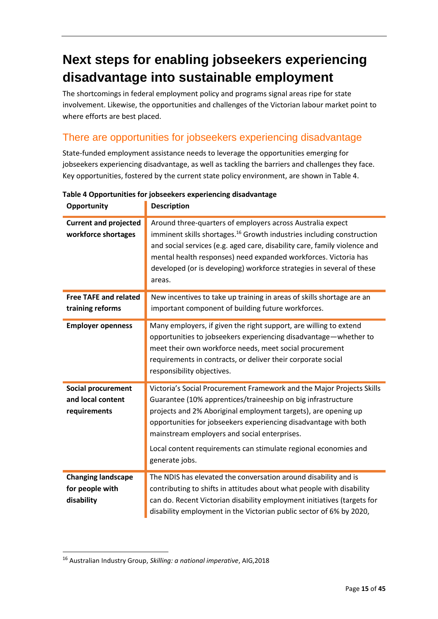# **Next steps for enabling jobseekers experiencing disadvantage into sustainable employment**

The shortcomings in federal employment policy and programs signal areas ripe for state involvement. Likewise, the opportunities and challenges of the Victorian labour market point to where efforts are best placed.

# There are opportunities for jobseekers experiencing disadvantage

State-funded employment assistance needs to leverage the opportunities emerging for jobseekers experiencing disadvantage, as well as tackling the barriers and challenges they face. Key opportunities, fostered by the current state policy environment, are shown in Table 4.

| <b>Opportunity</b>                                             | <b>Description</b>                                                                                                                                                                                                                                                                                                                                                                                               |
|----------------------------------------------------------------|------------------------------------------------------------------------------------------------------------------------------------------------------------------------------------------------------------------------------------------------------------------------------------------------------------------------------------------------------------------------------------------------------------------|
| <b>Current and projected</b><br>workforce shortages            | Around three-quarters of employers across Australia expect<br>imminent skills shortages. <sup>16</sup> Growth industries including construction<br>and social services (e.g. aged care, disability care, family violence and<br>mental health responses) need expanded workforces. Victoria has<br>developed (or is developing) workforce strategies in several of these<br>areas.                               |
| <b>Free TAFE and related</b><br>training reforms               | New incentives to take up training in areas of skills shortage are an<br>important component of building future workforces.                                                                                                                                                                                                                                                                                      |
| <b>Employer openness</b>                                       | Many employers, if given the right support, are willing to extend<br>opportunities to jobseekers experiencing disadvantage—whether to<br>meet their own workforce needs, meet social procurement<br>requirements in contracts, or deliver their corporate social<br>responsibility objectives.                                                                                                                   |
| <b>Social procurement</b><br>and local content<br>requirements | Victoria's Social Procurement Framework and the Major Projects Skills<br>Guarantee (10% apprentices/traineeship on big infrastructure<br>projects and 2% Aboriginal employment targets), are opening up<br>opportunities for jobseekers experiencing disadvantage with both<br>mainstream employers and social enterprises.<br>Local content requirements can stimulate regional economies and<br>generate jobs. |
| <b>Changing landscape</b><br>for people with<br>disability     | The NDIS has elevated the conversation around disability and is<br>contributing to shifts in attitudes about what people with disability<br>can do. Recent Victorian disability employment initiatives (targets for<br>disability employment in the Victorian public sector of 6% by 2020,                                                                                                                       |

#### **Table 4 Opportunities for jobseekers experiencing disadvantage**

**.** 

<sup>16</sup> Australian Industry Group, *Skilling: a national imperative*, AIG,2018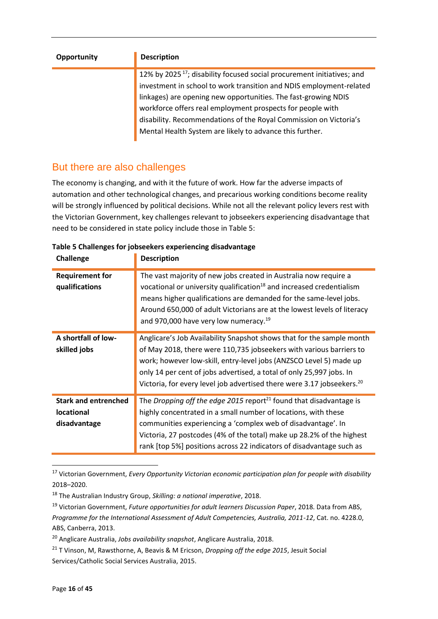| <b>Opportunity</b> | <b>Description</b>                                                                                                                                        |  |
|--------------------|-----------------------------------------------------------------------------------------------------------------------------------------------------------|--|
|                    | 12% by 2025 <sup>17</sup> ; disability focused social procurement initiatives; and<br>investment in school to work transition and NDIS employment-related |  |
|                    |                                                                                                                                                           |  |
|                    | linkages) are opening new opportunities. The fast-growing NDIS                                                                                            |  |
|                    | workforce offers real employment prospects for people with                                                                                                |  |
|                    | disability. Recommendations of the Royal Commission on Victoria's                                                                                         |  |
|                    | Mental Health System are likely to advance this further.                                                                                                  |  |
|                    |                                                                                                                                                           |  |

# But there are also challenges

The economy is changing, and with it the future of work. How far the adverse impacts of automation and other technological changes, and precarious working conditions become reality will be strongly influenced by political decisions. While not all the relevant policy levers rest with the Victorian Government, key challenges relevant to jobseekers experiencing disadvantage that need to be considered in state policy include those in Table 5:

| Challenge                                                        | <b>Description</b>                                                                                                                                                                                                                                                                                                                                                               |
|------------------------------------------------------------------|----------------------------------------------------------------------------------------------------------------------------------------------------------------------------------------------------------------------------------------------------------------------------------------------------------------------------------------------------------------------------------|
| <b>Requirement for</b><br>qualifications                         | The vast majority of new jobs created in Australia now require a<br>vocational or university qualification <sup>18</sup> and increased credentialism<br>means higher qualifications are demanded for the same-level jobs.<br>Around 650,000 of adult Victorians are at the lowest levels of literacy<br>and 970,000 have very low numeracy. <sup>19</sup>                        |
| A shortfall of low-<br>skilled jobs                              | Anglicare's Job Availability Snapshot shows that for the sample month<br>of May 2018, there were 110,735 jobseekers with various barriers to<br>work; however low-skill, entry-level jobs (ANZSCO Level 5) made up<br>only 14 per cent of jobs advertised, a total of only 25,997 jobs. In<br>Victoria, for every level job advertised there were 3.17 jobseekers. <sup>20</sup> |
| <b>Stark and entrenched</b><br><b>locational</b><br>disadvantage | The Dropping off the edge 2015 report <sup>21</sup> found that disadvantage is<br>highly concentrated in a small number of locations, with these<br>communities experiencing a 'complex web of disadvantage'. In<br>Victoria, 27 postcodes (4% of the total) make up 28.2% of the highest<br>rank [top 5%] positions across 22 indicators of disadvantage such as                |

#### **Table 5 Challenges for jobseekers experiencing disadvantage**

<sup>17</sup> Victorian Government, *Every Opportunity Victorian economic participation plan for people with disability* 2018–2020.

<sup>18</sup> The Australian Industry Group, *Skilling: a national imperative*, 2018.

<sup>19</sup> Victorian Government, *Future opportunities for adult learners Discussion Paper*, 2018. Data from ABS, *Programme for the International Assessment of Adult Competencies, Australia, 2011-12*, Cat. no. 4228.0, ABS, Canberra, 2013.

<sup>20</sup> Anglicare Australia, *Jobs availability snapshot*, Anglicare Australia, 2018.

<sup>21</sup> T Vinson, M, Rawsthorne, A, Beavis & M Ericson, *Dropping off the edge 2015*, Jesuit Social Services/Catholic Social Services Australia, 2015.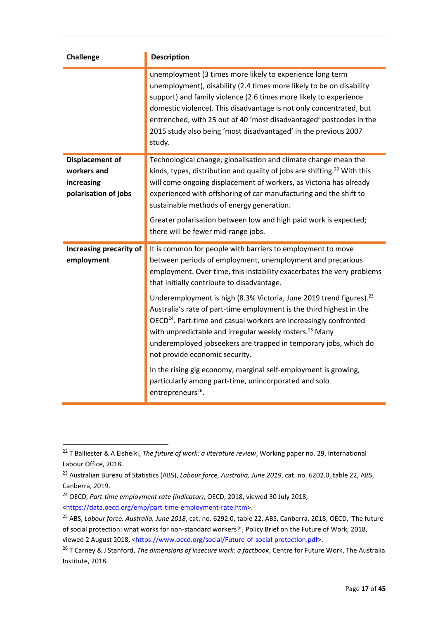| <b>Challenge</b>                                                            | <b>Description</b>                                                                                                                                                                                                                                                                                                                                                                                                                                                                                                                                                                                                                                                                                                                                                                                                                     |
|-----------------------------------------------------------------------------|----------------------------------------------------------------------------------------------------------------------------------------------------------------------------------------------------------------------------------------------------------------------------------------------------------------------------------------------------------------------------------------------------------------------------------------------------------------------------------------------------------------------------------------------------------------------------------------------------------------------------------------------------------------------------------------------------------------------------------------------------------------------------------------------------------------------------------------|
|                                                                             | unemployment (3 times more likely to experience long term<br>unemployment), disability (2.4 times more likely to be on disability<br>support) and family violence (2.6 times more likely to experience<br>domestic violence). This disadvantage is not only concentrated, but<br>entrenched, with 25 out of 40 'most disadvantaged' postcodes in the<br>2015 study also being 'most disadvantaged' in the previous 2007<br>study.                                                                                                                                                                                                                                                                                                                                                                                                      |
| <b>Displacement of</b><br>workers and<br>increasing<br>polarisation of jobs | Technological change, globalisation and climate change mean the<br>kinds, types, distribution and quality of jobs are shifting. <sup>22</sup> With this<br>will come ongoing displacement of workers, as Victoria has already<br>experienced with offshoring of car manufacturing and the shift to<br>sustainable methods of energy generation.<br>Greater polarisation between low and high paid work is expected;<br>there will be fewer mid-range jobs.                                                                                                                                                                                                                                                                                                                                                                             |
| Increasing precarity of<br>employment                                       | It is common for people with barriers to employment to move<br>between periods of employment, unemployment and precarious<br>employment. Over time, this instability exacerbates the very problems<br>that initially contribute to disadvantage.<br>Underemployment is high (8.3% Victoria, June 2019 trend figures). <sup>23</sup><br>Australia's rate of part-time employment is the third highest in the<br>OECD <sup>24</sup> . Part-time and casual workers are increasingly confronted<br>with unpredictable and irregular weekly rosters. <sup>25</sup> Many<br>underemployed jobseekers are trapped in temporary jobs, which do<br>not provide economic security.<br>In the rising gig economy, marginal self-employment is growing,<br>particularly among part-time, unincorporated and solo<br>entrepreneurs <sup>26</sup> . |

1

<sup>22</sup> T Balliester & A Elsheiki, *The future of work: a literature review*, Working paper no. 29, International Labour Office, 2018*.*

<sup>23</sup> Australian Bureau of Statistics (ABS), *Labour force, Australia, June 2019*, cat. no. 6202.0, table 22, ABS, Canberra, 2019.

<sup>24</sup> OECD, *Part-time employment rate (indicator)*, OECD, 2018, viewed 30 July 2018, [<https://data.oecd.org/emp/part-time-employment-rate.htm>](https://data.oecd.org/emp/part-time-employment-rate.htm).

<sup>25</sup> ABS, *Labour force, Australia, June 2018*, cat. no. 6292.0, table 22, ABS, Canberra, 2018; OECD, 'The future of social protection: what works for non-standard workers?', Policy Brief on the Future of Work, 2018, viewed 2 August 2018, <https://www.oecd.org/social/Future-of-social-protection.pdf>.

<sup>26</sup> T Carney & J Stanford, *The dimensions of insecure work: a factbook*, Centre for Future Work, The Australia Institute, 2018.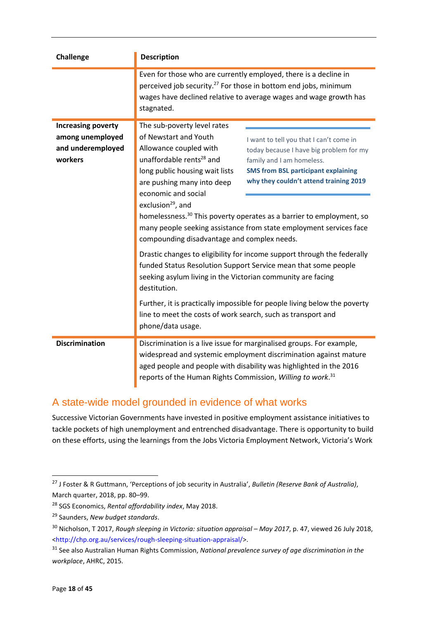| <b>Challenge</b>                                                              | <b>Description</b>                                                                                                                                                                                                                                                                                                                                                                                                                                                                                                                                                                                                                                                                                                                                                                                                                                                                                                                                                                                                                                               |  |
|-------------------------------------------------------------------------------|------------------------------------------------------------------------------------------------------------------------------------------------------------------------------------------------------------------------------------------------------------------------------------------------------------------------------------------------------------------------------------------------------------------------------------------------------------------------------------------------------------------------------------------------------------------------------------------------------------------------------------------------------------------------------------------------------------------------------------------------------------------------------------------------------------------------------------------------------------------------------------------------------------------------------------------------------------------------------------------------------------------------------------------------------------------|--|
|                                                                               | Even for those who are currently employed, there is a decline in<br>perceived job security. <sup>27</sup> For those in bottom end jobs, minimum<br>wages have declined relative to average wages and wage growth has<br>stagnated.                                                                                                                                                                                                                                                                                                                                                                                                                                                                                                                                                                                                                                                                                                                                                                                                                               |  |
| <b>Increasing poverty</b><br>among unemployed<br>and underemployed<br>workers | The sub-poverty level rates<br>of Newstart and Youth<br>I want to tell you that I can't come in<br>Allowance coupled with<br>today because I have big problem for my<br>unaffordable rents <sup>28</sup> and<br>family and I am homeless.<br>long public housing wait lists<br><b>SMS from BSL participant explaining</b><br>why they couldn't attend training 2019<br>are pushing many into deep<br>economic and social<br>exclusion <sup>29</sup> , and<br>homelessness. <sup>30</sup> This poverty operates as a barrier to employment, so<br>many people seeking assistance from state employment services face<br>compounding disadvantage and complex needs.<br>Drastic changes to eligibility for income support through the federally<br>funded Status Resolution Support Service mean that some people<br>seeking asylum living in the Victorian community are facing<br>destitution.<br>Further, it is practically impossible for people living below the poverty<br>line to meet the costs of work search, such as transport and<br>phone/data usage. |  |
| <b>Discrimination</b>                                                         | Discrimination is a live issue for marginalised groups. For example,<br>widespread and systemic employment discrimination against mature<br>aged people and people with disability was highlighted in the 2016<br>reports of the Human Rights Commission, Willing to work. <sup>31</sup>                                                                                                                                                                                                                                                                                                                                                                                                                                                                                                                                                                                                                                                                                                                                                                         |  |

# A state-wide model grounded in evidence of what works

Successive Victorian Governments have invested in positive employment assistance initiatives to tackle pockets of high unemployment and entrenched disadvantage. There is opportunity to build on these efforts, using the learnings from the Jobs Victoria Employment Network, Victoria's Work

<sup>27</sup> J Foster & R Guttmann, 'Perceptions of job security in Australia', *Bulletin (Reserve Bank of Australia)*, March quarter, 2018, pp. 80–99.

<sup>28</sup> SGS Economics, *Rental affordability index*, May 2018.

<sup>29</sup> [Saunders,](https://theconversation.com/new-budget-standards-show-just-how-inadequate-the-newstart-allowance-has-become-82903) *New budget standards*.

<sup>&</sup>lt;sup>30</sup> Nicholson, T 2017, *Rough sleeping in Victoria: situation appraisal – May 2017*, p. 47, viewed 26 July 2018, [<http://chp.org.au/services/rough-sleeping-situation-appraisal/>](http://chp.org.au/services/rough-sleeping-situation-appraisal/).

<sup>31</sup> See also Australian Human Rights Commission, *National prevalence survey of age discrimination in the workplace*, AHRC, 2015.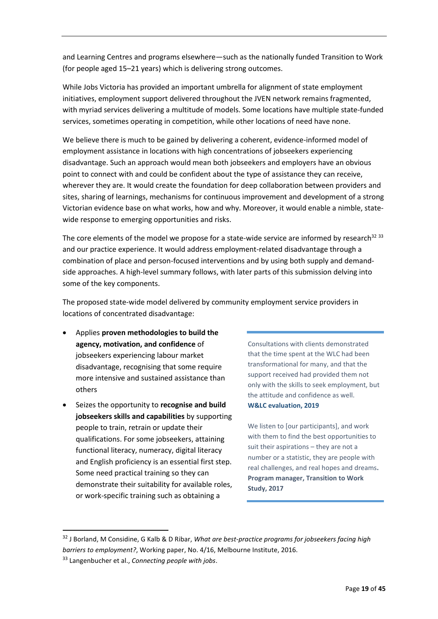and Learning Centres and programs elsewhere—such as the nationally funded Transition to Work (for people aged 15–21 years) which is delivering strong outcomes.

While Jobs Victoria has provided an important umbrella for alignment of state employment initiatives, employment support delivered throughout the JVEN network remains fragmented, with myriad services delivering a multitude of models. Some locations have multiple state-funded services, sometimes operating in competition, while other locations of need have none.

We believe there is much to be gained by delivering a coherent, evidence-informed model of employment assistance in locations with high concentrations of jobseekers experiencing disadvantage. Such an approach would mean both jobseekers and employers have an obvious point to connect with and could be confident about the type of assistance they can receive, wherever they are. It would create the foundation for deep collaboration between providers and sites, sharing of learnings, mechanisms for continuous improvement and development of a strong Victorian evidence base on what works, how and why. Moreover, it would enable a nimble, statewide response to emerging opportunities and risks.

The core elements of the model we propose for a state-wide service are informed by research<sup>32</sup> 33 and our practice experience. It would address employment-related disadvantage through a combination of place and person-focused interventions and by using both supply and demandside approaches. A high-level summary follows, with later parts of this submission delving into some of the key components.

The proposed state-wide model delivered by community employment service providers in locations of concentrated disadvantage:

- Applies **proven methodologies to build the agency, motivation, and confidence** of jobseekers experiencing labour market disadvantage, recognising that some require more intensive and sustained assistance than others
- Seizes the opportunity to **recognise and build jobseekers skills and capabilities** by supporting people to train, retrain or update their qualifications. For some jobseekers, attaining functional literacy, numeracy, digital literacy and English proficiency is an essential first step. Some need practical training so they can demonstrate their suitability for available roles, or work-specific training such as obtaining a

Consultations with clients demonstrated that the time spent at the WLC had been transformational for many, and that the support received had provided them not only with the skills to seek employment, but the attitude and confidence as well. **W&LC evaluation, 2019**

We listen to [our participants], and work with them to find the best opportunities to suit their aspirations – they are not a number or a statistic, they are people with real challenges, and real hopes and dreams**. Program manager, Transition to Work Study, 2017**

1

<sup>32</sup> J Borland, M Considine, G Kalb & D Ribar, *What are best-practice programs for jobseekers facing high barriers to employment?*, Working paper, No. 4/16, Melbourne Institute, 2016.

<sup>33</sup> Langenbucher et al., *Connecting people with jobs*.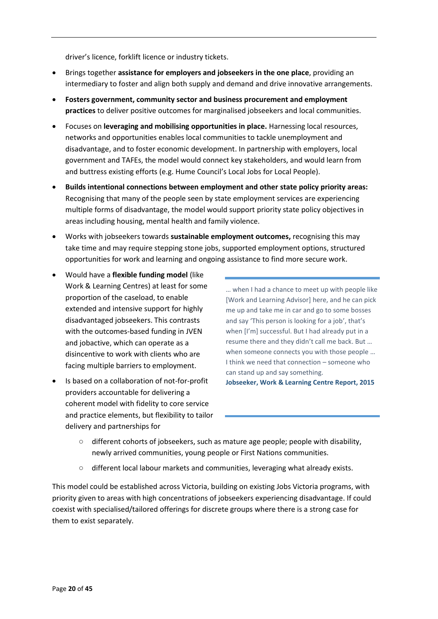driver's licence, forklift licence or industry tickets.

- Brings together **assistance for employers and jobseekers in the one place**, providing an intermediary to foster and align both supply and demand and drive innovative arrangements.
- **Fosters government, community sector and business procurement and employment practices** to deliver positive outcomes for marginalised jobseekers and local communities.
- Focuses on **leveraging and mobilising opportunities in place.** Harnessing local resources, networks and opportunities enables local communities to tackle unemployment and disadvantage, and to foster economic development. In partnership with employers, local government and TAFEs, the model would connect key stakeholders, and would learn from and buttress existing efforts (e.g. Hume Council's Local Jobs for Local People).
- **Builds intentional connections between employment and other state policy priority areas:** Recognising that many of the people seen by state employment services are experiencing multiple forms of disadvantage, the model would support priority state policy objectives in areas including housing, mental health and family violence.
- Works with jobseekers towards **sustainable employment outcomes,** recognising this may take time and may require stepping stone jobs, supported employment options, structured opportunities for work and learning and ongoing assistance to find more secure work.
- Would have a **flexible funding model** (like Work & Learning Centres) at least for some proportion of the caseload, to enable extended and intensive support for highly disadvantaged jobseekers. This contrasts with the outcomes-based funding in JVEN and jobactive, which can operate as a disincentive to work with clients who are facing multiple barriers to employment.
- Is based on a collaboration of not-for-profit providers accountable for delivering a coherent model with fidelity to core service and practice elements, but flexibility to tailor delivery and partnerships for

… when I had a chance to meet up with people like [Work and Learning Advisor] here, and he can pick me up and take me in car and go to some bosses and say 'This person is looking for a job', that's when [I'm] successful. But I had already put in a resume there and they didn't call me back. But … when someone connects you with those people … I think we need that connection – someone who can stand up and say something. **Jobseeker, Work & Learning Centre Report, 2015**

- different cohorts of jobseekers, such as mature age people; people with disability, newly arrived communities, young people or First Nations communities.
- different local labour markets and communities, leveraging what already exists.

This model could be established across Victoria, building on existing Jobs Victoria programs, with priority given to areas with high concentrations of jobseekers experiencing disadvantage. If could coexist with specialised/tailored offerings for discrete groups where there is a strong case for them to exist separately.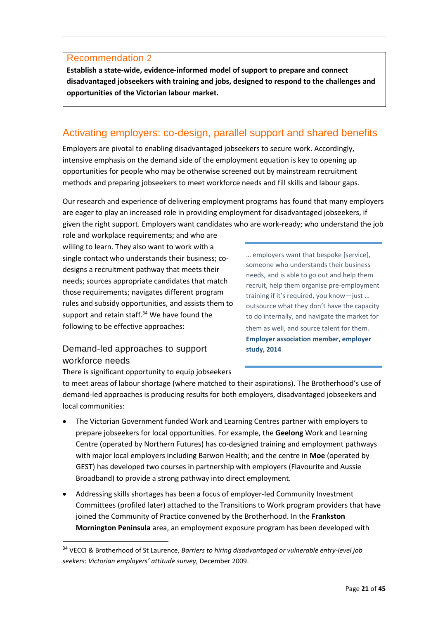#### Recommendation 2

**Establish a state-wide, evidence-informed model of support to prepare and connect disadvantaged jobseekers with training and jobs, designed to respond to the challenges and opportunities of the Victorian labour market.**

# Activating employers: co-design, parallel support and shared benefits

Employers are pivotal to enabling disadvantaged jobseekers to secure work. Accordingly, intensive emphasis on the demand side of the employment equation is key to opening up opportunities for people who may be otherwise screened out by mainstream recruitment methods and preparing jobseekers to meet workforce needs and fill skills and labour gaps.

Our research and experience of delivering employment programs has found that many employers are eager to play an increased role in providing employment for disadvantaged jobseekers, if given the right support. Employers want candidates who are work-ready; who understand the job

role and workplace requirements; and who are willing to learn. They also want to work with a single contact who understands their business; codesigns a recruitment pathway that meets their needs; sources appropriate candidates that match those requirements; navigates different program rules and subsidy opportunities, and assists them to support and retain staff.<sup>34</sup> We have found the following to be effective approaches:

… employers want that bespoke [service], someone who understands their business needs, and is able to go out and help them recruit, help them organise pre-employment training if it's required, you know—just … outsource what they don't have the capacity to do internally, and navigate the market for them as well, and source talent for them. **Employer association member, employer study, 2014**

### Demand-led approaches to support workforce needs

1

There is significant opportunity to equip jobseekers

to meet areas of labour shortage (where matched to their aspirations). The Brotherhood's use of demand-led approaches is producing results for both employers, disadvantaged jobseekers and local communities:

- The Victorian Government funded Work and Learning Centres partner with employers to prepare jobseekers for local opportunities. For example, the **Geelong** Work and Learning Centre (operated by Northern Futures) has co-designed training and employment pathways with major local employers including Barwon Health; and the centre in **Moe** (operated by GEST) has developed two courses in partnership with employers (Flavourite and Aussie Broadband) to provide a strong pathway into direct employment.
- Addressing skills shortages has been a focus of employer-led Community Investment Committees (profiled later) attached to the Transitions to Work program providers that have joined the Community of Practice convened by the Brotherhood. In the **Frankston Mornington Peninsula** area, an employment exposure program has been developed with

<sup>34</sup> VECCI & Brotherhood of St Laurence, *Barriers to hiring disadvantaged or vulnerable entry-level job seekers: Victorian employers' attitude survey*, December 2009.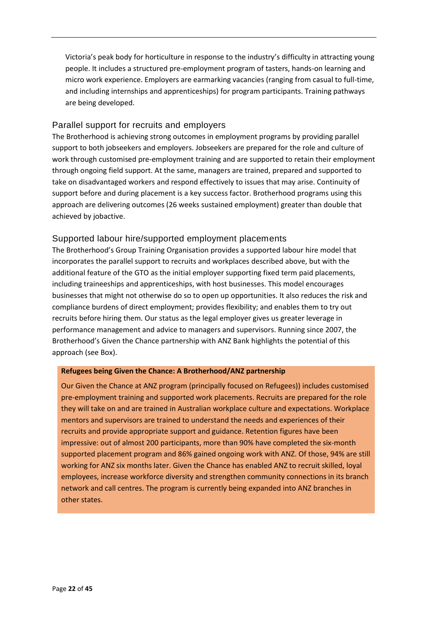Victoria's peak body for horticulture in response to the industry's difficulty in attracting young people. It includes a structured pre-employment program of tasters, hands-on learning and micro work experience. Employers are earmarking vacancies (ranging from casual to full-time, and including internships and apprenticeships) for program participants. Training pathways are being developed.

#### Parallel support for recruits and employers

The Brotherhood is achieving strong outcomes in employment programs by providing parallel support to both jobseekers and employers. Jobseekers are prepared for the role and culture of work through customised pre-employment training and are supported to retain their employment through ongoing field support. At the same, managers are trained, prepared and supported to take on disadvantaged workers and respond effectively to issues that may arise. Continuity of support before and during placement is a key success factor. Brotherhood programs using this approach are delivering outcomes (26 weeks sustained employment) greater than double that achieved by jobactive.

#### Supported labour hire/supported employment placements

The Brotherhood's Group Training Organisation provides a supported labour hire model that incorporates the parallel support to recruits and workplaces described above, but with the additional feature of the GTO as the initial employer supporting fixed term paid placements, including traineeships and apprenticeships, with host businesses. This model encourages businesses that might not otherwise do so to open up opportunities. It also reduces the risk and compliance burdens of direct employment; provides flexibility; and enables them to try out recruits before hiring them. Our status as the legal employer gives us greater leverage in performance management and advice to managers and supervisors. Running since 2007, the Brotherhood's Given the Chance partnership with ANZ Bank highlights the potential of this approach (see Box).

#### **Refugees being Given the Chance: A Brotherhood/ANZ partnership**

Our Given the Chance at ANZ program (principally focused on Refugees)) includes customised pre-employment training and supported work placements. Recruits are prepared for the role they will take on and are trained in Australian workplace culture and expectations. Workplace mentors and supervisors are trained to understand the needs and experiences of their recruits and provide appropriate support and guidance. Retention figures have been impressive: out of almost 200 participants, more than 90% have completed the six-month supported placement program and 86% gained ongoing work with ANZ. Of those, 94% are still working for ANZ six months later. Given the Chance has enabled ANZ to recruit skilled, loyal employees, increase workforce diversity and strengthen community connections in its branch network and call centres. The program is currently being expanded into ANZ branches in other states.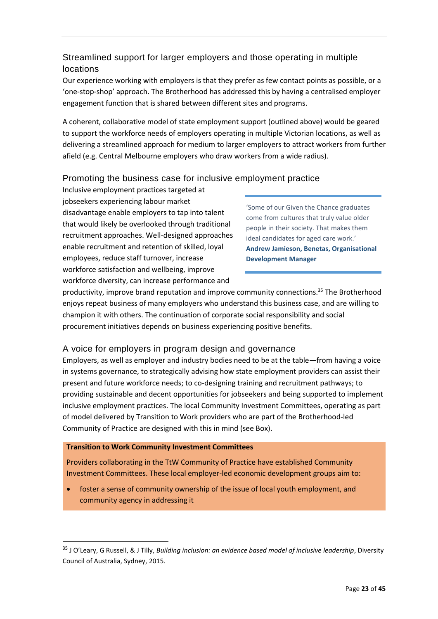## Streamlined support for larger employers and those operating in multiple locations

Our experience working with employers is that they prefer as few contact points as possible, or a 'one-stop-shop' approach. The Brotherhood has addressed this by having a centralised employer engagement function that is shared between different sites and programs.

A coherent, collaborative model of state employment support (outlined above) would be geared to support the workforce needs of employers operating in multiple Victorian locations, as well as delivering a streamlined approach for medium to larger employers to attract workers from further afield (e.g. Central Melbourne employers who draw workers from a wide radius).

### Promoting the business case for inclusive employment practice

Inclusive employment practices targeted at jobseekers experiencing labour market disadvantage enable employers to tap into talent that would likely be overlooked through traditional recruitment approaches. Well-designed approaches enable recruitment and retention of skilled, loyal employees, reduce staff turnover, increase workforce satisfaction and wellbeing, improve workforce diversity, can increase performance and

'Some of our Given the Chance graduates come from cultures that truly value older people in their society. That makes them ideal candidates for aged care work.' **Andrew Jamieson, Benetas, Organisational Development Manager**

productivity, improve brand reputation and improve community connections.<sup>35</sup> The Brotherhood enjoys repeat business of many employers who understand this business case, and are willing to champion it with others. The continuation of corporate social responsibility and social procurement initiatives depends on business experiencing positive benefits.

### A voice for employers in program design and governance

Employers, as well as employer and industry bodies need to be at the table—from having a voice in systems governance, to strategically advising how state employment providers can assist their present and future workforce needs; to co-designing training and recruitment pathways; to providing sustainable and decent opportunities for jobseekers and being supported to implement inclusive employment practices. The local Community Investment Committees, operating as part of model delivered by Transition to Work providers who are part of the Brotherhood-led Community of Practice are designed with this in mind (see Box).

#### **Transition to Work Community Investment Committees**

1

Providers collaborating in the TtW Community of Practice have established Community Investment Committees. These local employer-led economic development groups aim to:

 foster a sense of community ownership of the issue of local youth employment, and community agency in addressing it

<sup>35</sup> J O'Leary, G Russell, & J Tilly, *Building inclusion: an evidence based model of inclusive leadership*, Diversity Council of Australia, Sydney, 2015.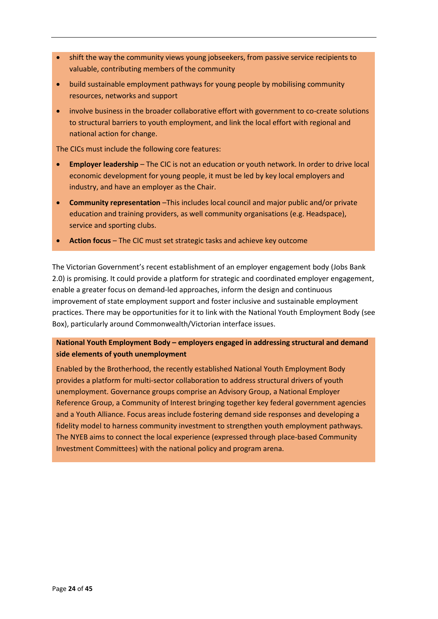- shift the way the community views young jobseekers, from passive service recipients to valuable, contributing members of the community
- build sustainable employment pathways for young people by mobilising community resources, networks and support
- involve business in the broader collaborative effort with government to co-create solutions to structural barriers to youth employment, and link the local effort with regional and national action for change.

The CICs must include the following core features:

- **Employer leadership** The CIC is not an education or youth network. In order to drive local economic development for young people, it must be led by key local employers and industry, and have an employer as the Chair.
- **Community representation** –This includes local council and major public and/or private education and training providers, as well community organisations (e.g. Headspace), service and sporting clubs.
- **Action focus** The CIC must set strategic tasks and achieve key outcome

The Victorian Government's recent establishment of an employer engagement body (Jobs Bank 2.0) is promising. It could provide a platform for strategic and coordinated employer engagement, enable a greater focus on demand-led approaches, inform the design and continuous improvement of state employment support and foster inclusive and sustainable employment practices. There may be opportunities for it to link with the National Youth Employment Body (see Box), particularly around Commonwealth/Victorian interface issues.

#### **National Youth Employment Body – employers engaged in addressing structural and demand side elements of youth unemployment**

Enabled by the Brotherhood, the recently established National Youth Employment Body provides a platform for multi-sector collaboration to address structural drivers of youth unemployment. Governance groups comprise an Advisory Group, a National Employer Reference Group, a Community of Interest bringing together key federal government agencies and a Youth Alliance. Focus areas include fostering demand side responses and developing a fidelity model to harness community investment to strengthen youth employment pathways. The NYEB aims to connect the local experience (expressed through place-based Community Investment Committees) with the national policy and program arena.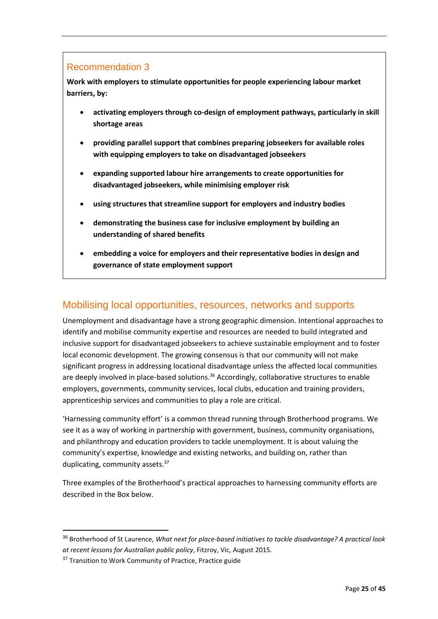#### Recommendation 3

**Work with employers to stimulate opportunities for people experiencing labour market barriers, by:** 

- **activating employers through co-design of employment pathways, particularly in skill shortage areas**
- **providing parallel support that combines preparing jobseekers for available roles with equipping employers to take on disadvantaged jobseekers**
- **expanding supported labour hire arrangements to create opportunities for disadvantaged jobseekers, while minimising employer risk**
- **using structures that streamline support for employers and industry bodies**
- **demonstrating the business case for inclusive employment by building an understanding of shared benefits**
- **embedding a voice for employers and their representative bodies in design and governance of state employment support**

# Mobilising local opportunities, resources, networks and supports

Unemployment and disadvantage have a strong geographic dimension. Intentional approaches to identify and mobilise community expertise and resources are needed to build integrated and inclusive support for disadvantaged jobseekers to achieve sustainable employment and to foster local economic development. The growing consensus is that our community will not make significant progress in addressing locational disadvantage unless the affected local communities are deeply involved in place-based solutions. $36$  Accordingly, collaborative structures to enable employers, governments, community services, local clubs, education and training providers, apprenticeship services and communities to play a role are critical.

'Harnessing community effort' is a common thread running through Brotherhood programs. We see it as a way of working in partnership with government, business, community organisations, and philanthropy and education providers to tackle unemployment. It is about valuing the community's expertise, knowledge and existing networks, and building on, rather than duplicating, community assets.<sup>37</sup>

Three examples of the Brotherhood's practical approaches to harnessing community efforts are described in the Box below.

1

<sup>36</sup> Brotherhood of St Laurence, *What next for place-based initiatives to tackle disadvantage? A practical look at recent lessons for Australian public policy*, Fitzroy, Vic, August 2015.

<sup>&</sup>lt;sup>37</sup> Transition to Work Community of Practice, Practice guide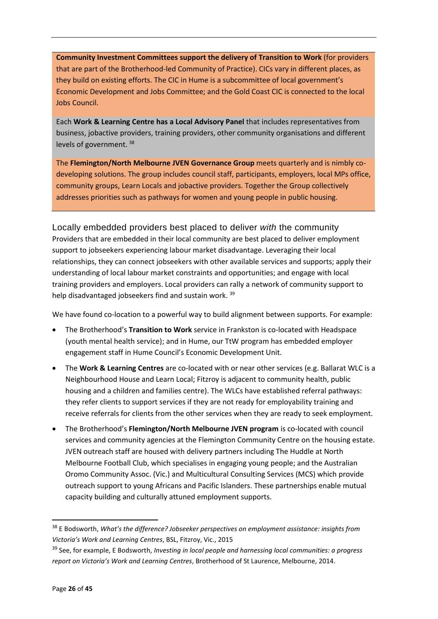**Community Investment Committees support the delivery of Transition to Work** (for providers that are part of the Brotherhood-led Community of Practice). CICs vary in different places, as they build on existing efforts. The CIC in Hume is a subcommittee of local government's Economic Development and Jobs Committee; and the Gold Coast CIC is connected to the local Jobs Council.

Each **Work & Learning Centre has a Local Advisory Panel** that includes representatives from business, jobactive providers, training providers, other community organisations and different levels of government. <sup>38</sup>

The **Flemington/North Melbourne JVEN Governance Group** meets quarterly and is nimbly codeveloping solutions. The group includes council staff, participants, employers, local MPs office, community groups, Learn Locals and jobactive providers. Together the Group collectively addresses priorities such as pathways for women and young people in public housing.

Locally embedded providers best placed to deliver *with* the community Providers that are embedded in their local community are best placed to deliver employment support to jobseekers experiencing labour market disadvantage. Leveraging their local relationships, they can connect jobseekers with other available services and supports; apply their understanding of local labour market constraints and opportunities; and engage with local training providers and employers. Local providers can rally a network of community support to help disadvantaged jobseekers find and sustain work. 39

We have found co-location to a powerful way to build alignment between supports. For example:

- The Brotherhood's **Transition to Work** service in Frankston is co-located with Headspace (youth mental health service); and in Hume, our TtW program has embedded employer engagement staff in Hume Council's Economic Development Unit.
- The **Work & Learning Centres** are co-located with or near other services (e.g. Ballarat WLC is a Neighbourhood House and Learn Local; Fitzroy is adjacent to community health, public housing and a children and families centre). The WLCs have established referral pathways: they refer clients to support services if they are not ready for employability training and receive referrals for clients from the other services when they are ready to seek employment.
- The Brotherhood's **Flemington/North Melbourne JVEN program** is co-located with council services and community agencies at the Flemington Community Centre on the housing estate. JVEN outreach staff are housed with delivery partners including The Huddle at North Melbourne Football Club, which specialises in engaging young people; and the Australian Oromo Community Assoc. (Vic.) and Multicultural Consulting Services (MCS) which provide outreach support to young Africans and Pacific Islanders. These partnerships enable mutual capacity building and culturally attuned employment supports.

<sup>38</sup> E Bodsworth, *What's the difference? Jobseeker perspectives on employment assistance: insights from Victoria's Work and Learning Centres*, BSL, Fitzroy, Vic., 2015

<sup>39</sup> See, for example, E Bodsworth, *Investing in local people and harnessing local communities: a progress report on Victoria's Work and Learning Centres*, Brotherhood of St Laurence, Melbourne, 2014.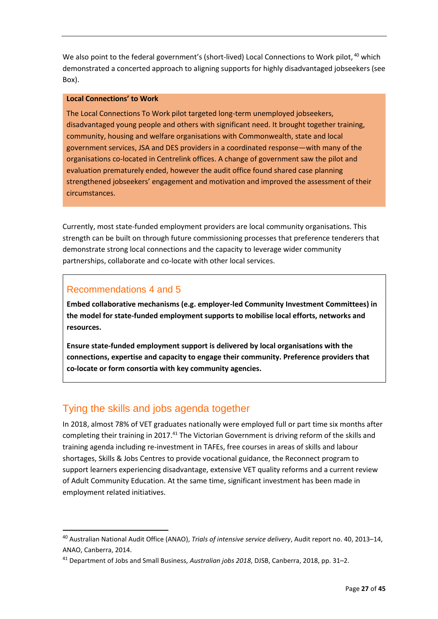We also point to the federal government's (short-lived) Local Connections to Work pilot, <sup>40</sup> which demonstrated a concerted approach to aligning supports for highly disadvantaged jobseekers (see Box).

#### **Local Connections' to Work**

The Local Connections To Work pilot targeted long-term unemployed jobseekers, disadvantaged young people and others with significant need. It brought together training, community, housing and welfare organisations with Commonwealth, state and local government services, JSA and DES providers in a coordinated response—with many of the organisations co-located in Centrelink offices. A change of government saw the pilot and evaluation prematurely ended, however the audit office found shared case planning strengthened jobseekers' engagement and motivation and improved the assessment of their circumstances.

Currently, most state-funded employment providers are local community organisations. This strength can be built on through future commissioning processes that preference tenderers that demonstrate strong local connections and the capacity to leverage wider community partnerships, collaborate and co-locate with other local services.

### Recommendations 4 and 5

1

**Embed collaborative mechanisms (e.g. employer-led Community Investment Committees) in the model for state-funded employment supports to mobilise local efforts, networks and resources.**

**Ensure state-funded employment support is delivered by local organisations with the connections, expertise and capacity to engage their community. Preference providers that co-locate or form consortia with key community agencies.**

# Tying the skills and jobs agenda together

In 2018, almost 78% of VET graduates nationally were employed full or part time six months after completing their training in 2017.<sup>41</sup> The Victorian Government is driving reform of the skills and training agenda including re-investment in TAFEs, free courses in areas of skills and labour shortages, Skills & Jobs Centres to provide vocational guidance, the Reconnect program to support learners experiencing disadvantage, extensive VET quality reforms and a current review of Adult Community Education. At the same time, significant investment has been made in employment related initiatives.

<sup>40</sup> Australian National Audit Office (ANAO), *Trials of intensive service delivery*, Audit report no. 40, 2013–14, ANAO, Canberra, 2014.

<sup>41</sup> Department of Jobs and Small Business, *Australian jobs 2018*, DJSB, Canberra, 2018, pp. 31–2.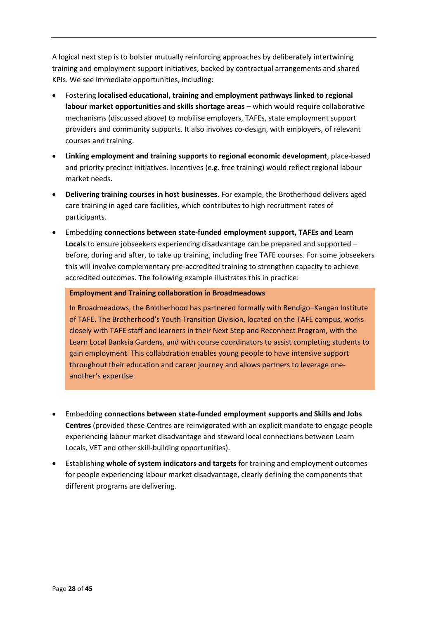A logical next step is to bolster mutually reinforcing approaches by deliberately intertwining training and employment support initiatives, backed by contractual arrangements and shared KPIs. We see immediate opportunities, including:

- Fostering **localised educational, training and employment pathways linked to regional labour market opportunities and skills shortage areas** – which would require collaborative mechanisms (discussed above) to mobilise employers, TAFEs, state employment support providers and community supports. It also involves co-design, with employers, of relevant courses and training.
- **Linking employment and training supports to regional economic development**, place-based and priority precinct initiatives. Incentives (e.g. free training) would reflect regional labour market needs.
- **Delivering training courses in host businesses**. For example, the Brotherhood delivers aged care training in aged care facilities, which contributes to high recruitment rates of participants.
- Embedding **connections between state-funded employment support, TAFEs and Learn Locals** to ensure jobseekers experiencing disadvantage can be prepared and supported – before, during and after, to take up training, including free TAFE courses. For some jobseekers this will involve complementary pre-accredited training to strengthen capacity to achieve accredited outcomes. The following example illustrates this in practice:

#### **Employment and Training collaboration in Broadmeadows**

In Broadmeadows, the Brotherhood has partnered formally with Bendigo–Kangan Institute of TAFE. The Brotherhood's Youth Transition Division, located on the TAFE campus, works closely with TAFE staff and learners in their Next Step and Reconnect Program, with the Learn Local Banksia Gardens, and with course coordinators to assist completing students to gain employment. This collaboration enables young people to have intensive support throughout their education and career journey and allows partners to leverage oneanother's expertise.

- Embedding **connections between state-funded employment supports and Skills and Jobs Centres** (provided these Centres are reinvigorated with an explicit mandate to engage people experiencing labour market disadvantage and steward local connections between Learn Locals, VET and other skill-building opportunities).
- Establishing **whole of system indicators and targets** for training and employment outcomes for people experiencing labour market disadvantage, clearly defining the components that different programs are delivering.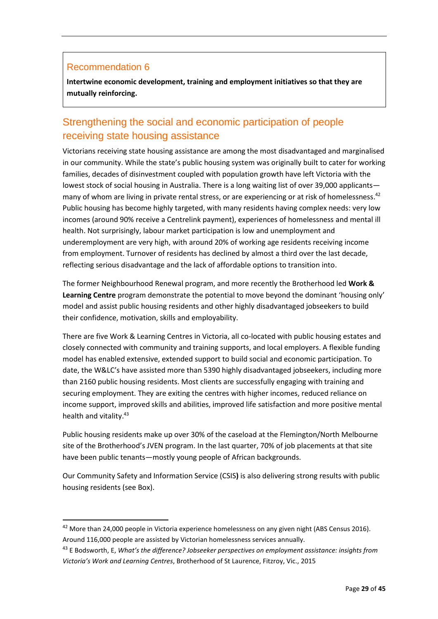#### Recommendation 6

**.** 

**Intertwine economic development, training and employment initiatives so that they are mutually reinforcing.**

# Strengthening the social and economic participation of people receiving state housing assistance

Victorians receiving state housing assistance are among the most disadvantaged and marginalised in our community. While the state's public housing system was originally built to cater for working families, decades of disinvestment coupled with population growth have left Victoria with the lowest stock of social housing in Australia. There is a long waiting list of over 39,000 applicants many of whom are living in private rental stress, or are experiencing or at risk of homelessness.<sup>42</sup> Public housing has become highly targeted, with many residents having complex needs: very low incomes (around 90% receive a Centrelink payment), experiences of homelessness and mental ill health. Not surprisingly, labour market participation is low and unemployment and underemployment are very high, with around 20% of working age residents receiving income from employment. Turnover of residents has declined by almost a third over the last decade, reflecting serious disadvantage and the lack of affordable options to transition into.

The former Neighbourhood Renewal program, and more recently the Brotherhood led **Work & Learning Centre** program demonstrate the potential to move beyond the dominant 'housing only' model and assist public housing residents and other highly disadvantaged jobseekers to build their confidence, motivation, skills and employability.

There are five Work & Learning Centres in Victoria, all co-located with public housing estates and closely connected with community and training supports, and local employers. A flexible funding model has enabled extensive, extended support to build social and economic participation. To date, the W&LC's have assisted more than 5390 highly disadvantaged jobseekers, including more than 2160 public housing residents. Most clients are successfully engaging with training and securing employment. They are exiting the centres with higher incomes, reduced reliance on income support, improved skills and abilities, improved life satisfaction and more positive mental health and vitality.<sup>43</sup>

Public housing residents make up over 30% of the caseload at the Flemington/North Melbourne site of the Brotherhood's JVEN program. In the last quarter, 70% of job placements at that site have been public tenants—mostly young people of African backgrounds.

Our Community Safety and Information Service (CSIS**)** is also delivering strong results with public housing residents (see Box).

<sup>&</sup>lt;sup>42</sup> More than 24,000 people in Victoria experience homelessness on any given night (ABS Census 2016). Around 116,000 people are assisted by Victorian homelessness services annually.

<sup>43</sup> E Bodsworth, E, *What's the difference? Jobseeker perspectives on employment assistance: insights from Victoria's Work and Learning Centres*, Brotherhood of St Laurence, Fitzroy, Vic., 2015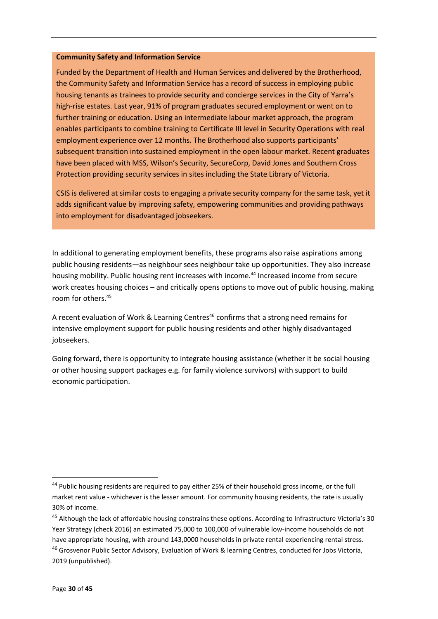#### **Community Safety and Information Service**

Funded by the Department of Health and Human Services and delivered by the Brotherhood, the Community Safety and Information Service has a record of success in employing public housing tenants as trainees to provide security and concierge services in the City of Yarra's high-rise estates. Last year, 91% of program graduates secured employment or went on to further training or education. Using an intermediate labour market approach, the program enables participants to combine training to Certificate III level in Security Operations with real employment experience over 12 months. The Brotherhood also supports participants' subsequent transition into sustained employment in the open labour market. Recent graduates have been placed with MSS, Wilson's Security, SecureCorp, David Jones and Southern Cross Protection providing security services in sites including the State Library of Victoria.

CSIS is delivered at similar costs to engaging a private security company for the same task, yet it adds significant value by improving safety, empowering communities and providing pathways into employment for disadvantaged jobseekers.

In additional to generating employment benefits, these programs also raise aspirations among public housing residents—as neighbour sees neighbour take up opportunities. They also increase housing mobility. Public housing rent increases with income.<sup>44</sup> Increased income from secure work creates housing choices – and critically opens options to move out of public housing, making room for others.<sup>45</sup>

A recent evaluation of Work & Learning Centres<sup>46</sup> confirms that a strong need remains for intensive employment support for public housing residents and other highly disadvantaged jobseekers.

Going forward, there is opportunity to integrate housing assistance (whether it be social housing or other housing support packages e.g. for family violence survivors) with support to build economic participation.

<sup>&</sup>lt;sup>44</sup> Public housing residents are required to pay either 25% of their household gross income, or the full market rent value - whichever is the lesser amount. For community housing residents, the rate is usually 30% of income.

<sup>&</sup>lt;sup>45</sup> Although the lack of affordable housing constrains these options. According to Infrastructure Victoria's 30 Year Strategy (check 2016) an estimated 75,000 to 100,000 of vulnerable low-income households do not have appropriate housing, with around 143,0000 households in private rental experiencing rental stress.

<sup>46</sup> Grosvenor Public Sector Advisory, Evaluation of Work & learning Centres, conducted for Jobs Victoria, 2019 (unpublished).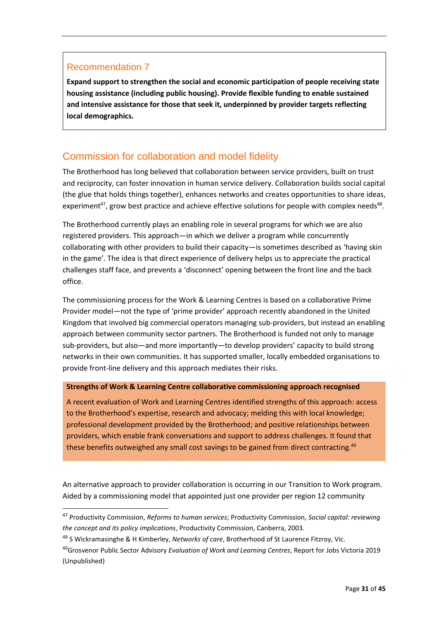#### Recommendation 7

**.** 

**Expand support to strengthen the social and economic participation of people receiving state housing assistance (including public housing). Provide flexible funding to enable sustained and intensive assistance for those that seek it, underpinned by provider targets reflecting local demographics.**

## Commission for collaboration and model fidelity

The Brotherhood has long believed that collaboration between service providers, built on trust and reciprocity, can foster innovation in human service delivery. Collaboration builds social capital (the glue that holds things together), enhances networks and creates opportunities to share ideas, experiment<sup>47</sup>, grow best practice and achieve effective solutions for people with complex needs<sup>48</sup>.

The Brotherhood currently plays an enabling role in several programs for which we are also registered providers. This approach—in which we deliver a program while concurrently collaborating with other providers to build their capacity—is sometimes described as 'having skin in the game'. The idea is that direct experience of delivery helps us to appreciate the practical challenges staff face, and prevents a 'disconnect' opening between the front line and the back office.

The commissioning process for the Work & Learning Centres is based on a collaborative Prime Provider model—not the type of 'prime provider' approach recently abandoned in the United Kingdom that involved big commercial operators managing sub-providers, but instead an enabling approach between community sector partners. The Brotherhood is funded not only to manage sub-providers, but also—and more importantly—to develop providers' capacity to build strong networks in their own communities. It has supported smaller, locally embedded organisations to provide front-line delivery and this approach mediates their risks.

#### **Strengths of Work & Learning Centre collaborative commissioning approach recognised**

A recent evaluation of Work and Learning Centres identified strengths of this approach: access to the Brotherhood's expertise, research and advocacy; melding this with local knowledge; professional development provided by the Brotherhood; and positive relationships between providers, which enable frank conversations and support to address challenges. It found that these benefits outweighed any small cost savings to be gained from direct contracting.<sup>49</sup>

An alternative approach to provider collaboration is occurring in our Transition to Work program. Aided by a commissioning model that appointed just one provider per region 12 community

<sup>47</sup> Productivity Commission, *Reforms to human services*; Productivity Commission, *Social capital: reviewing the concept and its policy implications*, Productivity Commission, Canberra, 2003.

<sup>48</sup> S Wickramasinghe & H Kimberley, *Networks of care*, Brotherhood of St Laurence Fitzroy, Vic.

<sup>49</sup>Grosvenor Public Sector Advisory *Evaluation of Work and Learning Centres*, Report for Jobs Victoria 2019 (Unpublished)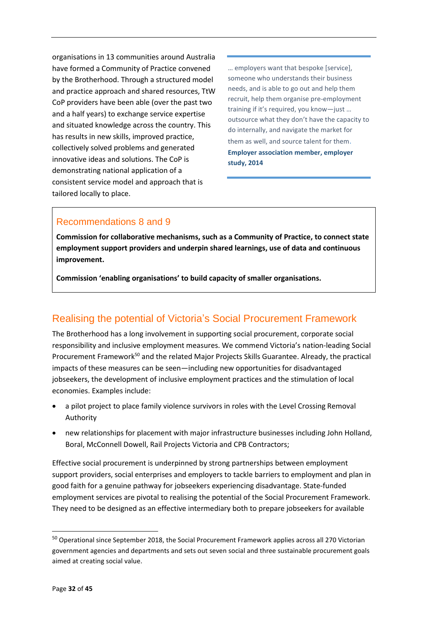organisations in 13 communities around Australia have formed a Community of Practice convened by the Brotherhood. Through a structured model and practice approach and shared resources, TtW CoP providers have been able (over the past two and a half years) to exchange service expertise and situated knowledge across the country. This has results in new skills, improved practice, collectively solved problems and generated innovative ideas and solutions. The CoP is demonstrating national application of a consistent service model and approach that is tailored locally to place.

… employers want that bespoke [service], someone who understands their business needs, and is able to go out and help them recruit, help them organise pre-employment training if it's required, you know—just … outsource what they don't have the capacity to do internally, and navigate the market for them as well, and source talent for them. **Employer association member, employer study, 2014**

## Recommendations 8 and 9

**Commission for collaborative mechanisms, such as a Community of Practice, to connect state employment support providers and underpin shared learnings, use of data and continuous improvement.**

**Commission 'enabling organisations' to build capacity of smaller organisations.**

# Realising the potential of Victoria's Social Procurement Framework

The Brotherhood has a long involvement in supporting social procurement, corporate social responsibility and inclusive employment measures. We commend Victoria's nation-leading Social Procurement Framework<sup>50</sup> and the related Major Projects Skills Guarantee. Already, the practical impacts of these measures can be seen—including new opportunities for disadvantaged jobseekers, the development of inclusive employment practices and the stimulation of local economies. Examples include:

- a pilot project to place family violence survivors in roles with the Level Crossing Removal Authority
- new relationships for placement with major infrastructure businesses including John Holland, Boral, McConnell Dowell, Rail Projects Victoria and CPB Contractors;

Effective social procurement is underpinned by strong partnerships between employment support providers, social enterprises and employers to tackle barriers to employment and plan in good faith for a genuine pathway for jobseekers experiencing disadvantage. State-funded employment services are pivotal to realising the potential of the Social Procurement Framework. They need to be designed as an effective intermediary both to prepare jobseekers for available

<sup>&</sup>lt;sup>50</sup> Operational since September 2018, the Social Procurement Framework applies across all 270 Victorian government agencies and departments and sets out seven social and three sustainable procurement goals aimed at creating social value.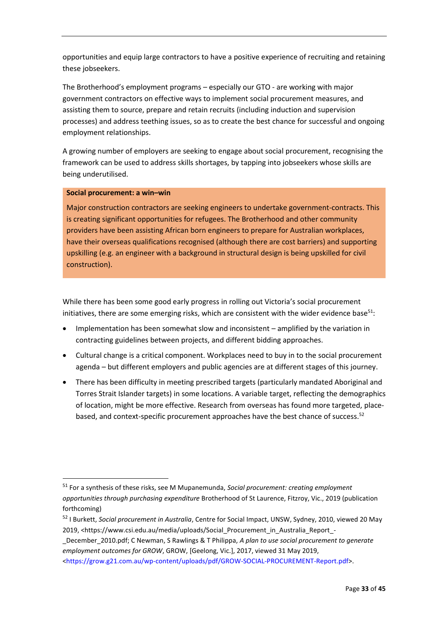opportunities and equip large contractors to have a positive experience of recruiting and retaining these jobseekers.

The Brotherhood's employment programs – especially our GTO - are working with major government contractors on effective ways to implement social procurement measures, and assisting them to source, prepare and retain recruits (including induction and supervision processes) and address teething issues, so as to create the best chance for successful and ongoing employment relationships.

A growing number of employers are seeking to engage about social procurement, recognising the framework can be used to address skills shortages, by tapping into jobseekers whose skills are being underutilised.

#### **Social procurement: a win–win**

**.** 

Major construction contractors are seeking engineers to undertake government-contracts. This is creating significant opportunities for refugees. The Brotherhood and other community providers have been assisting African born engineers to prepare for Australian workplaces, have their overseas qualifications recognised (although there are cost barriers) and supporting upskilling (e.g. an engineer with a background in structural design is being upskilled for civil construction).

While there has been some good early progress in rolling out Victoria's social procurement initiatives, there are some emerging risks, which are consistent with the wider evidence base $51$ :

- Implementation has been somewhat slow and inconsistent amplified by the variation in contracting guidelines between projects, and different bidding approaches.
- Cultural change is a critical component. Workplaces need to buy in to the social procurement agenda – but different employers and public agencies are at different stages of this journey.
- There has been difficulty in meeting prescribed targets (particularly mandated Aboriginal and Torres Strait Islander targets) in some locations. A variable target, reflecting the demographics of location, might be more effective. Research from overseas has found more targeted, placebased, and context-specific procurement approaches have the best chance of success.<sup>52</sup>

<sup>51</sup> For a synthesis of these risks, see M Mupanemunda, *Social procurement: creating employment opportunities through purchasing expenditure* Brotherhood of St Laurence, Fitzroy, Vic., 2019 (publication forthcoming)

<sup>52</sup> I Burkett, *Social procurement in Australia*, Centre for Social Impact, UNSW, Sydney, 2010, viewed 20 May 2019, ˂https://www.csi.edu.au/media/uploads/Social\_Procurement\_in\_Australia\_Report\_-

\_December\_2010.pdf; C Newman, S Rawlings & T Philippa, *A plan to use social procurement to generate employment outcomes for GROW*, GROW, [Geelong, Vic.], 2017, viewed 31 May 2019,

<sup>˂</sup><https://grow.g21.com.au/wp-content/uploads/pdf/GROW-SOCIAL-PROCUREMENT-Report.pdf>˃.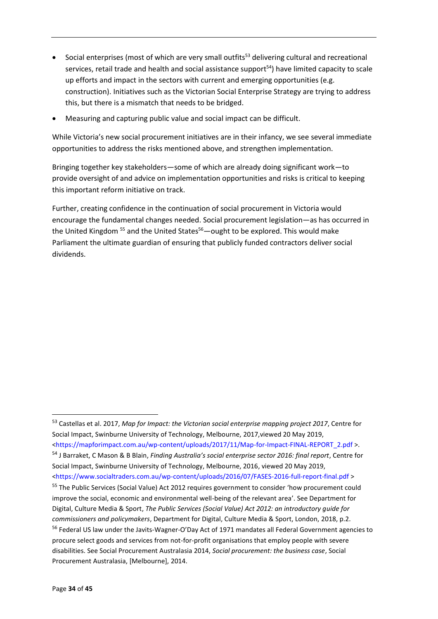- Social enterprises (most of which are very small outfits<sup>53</sup> delivering cultural and recreational services, retail trade and health and social assistance support<sup>54</sup>) have limited capacity to scale up efforts and impact in the sectors with current and emerging opportunities (e.g. construction). Initiatives such as the Victorian Social Enterprise Strategy are trying to address this, but there is a mismatch that needs to be bridged.
- Measuring and capturing public value and social impact can be difficult.

While Victoria's new social procurement initiatives are in their infancy, we see several immediate opportunities to address the risks mentioned above, and strengthen implementation.

Bringing together key stakeholders—some of which are already doing significant work—to provide oversight of and advice on implementation opportunities and risks is critical to keeping this important reform initiative on track.

Further, creating confidence in the continuation of social procurement in Victoria would encourage the fundamental changes needed. Social procurement legislation—as has occurred in the United Kingdom  $55$  and the United States $56$  —ought to be explored. This would make Parliament the ultimate guardian of ensuring that publicly funded contractors deliver social dividends.

˂<https://www.socialtraders.com.au/wp-content/uploads/2016/07/FASES-2016-full-report-final.pdf> ˃

<sup>53</sup> Castellas et al. 2017, *Map for Impact: the Victorian social enterprise mapping project 2017*, Centre for Social Impact, Swinburne University of Technology, Melbourne, 2017,viewed 20 May 2019, ˂[https://mapforimpact.com.au/wp-content/uploads/2017/11/Map-for-Impact-FINAL-REPORT\\_2.pdf](https://mapforimpact.com.au/wp-content/uploads/2017/11/Map-for-Impact-FINAL-REPORT_2.pdf) ˃.

<sup>54</sup> J Barraket, C Mason & B Blain, *Finding Australia's social enterprise sector 2016: final report*, Centre for Social Impact, Swinburne University of Technology, Melbourne, 2016, viewed 20 May 2019,

<sup>55</sup> The Public Services (Social Value) Act 2012 requires government to consider 'how procurement could improve the social, economic and environmental well-being of the relevant area'. See Department for Digital, Culture Media & Sport, *The Public Services (Social Value) Act 2012: an introductory guide for commissioners and policymakers*, Department for Digital, Culture Media & Sport, London, 2018, p.2.

<sup>&</sup>lt;sup>56</sup> Federal US law under the Javits-Wagner-O'Day Act of 1971 mandates all Federal Government agencies to procure select goods and services from not-for-profit organisations that employ people with severe disabilities. See Social Procurement Australasia 2014, *Social procurement: the business case*, Social Procurement Australasia, [Melbourne], 2014.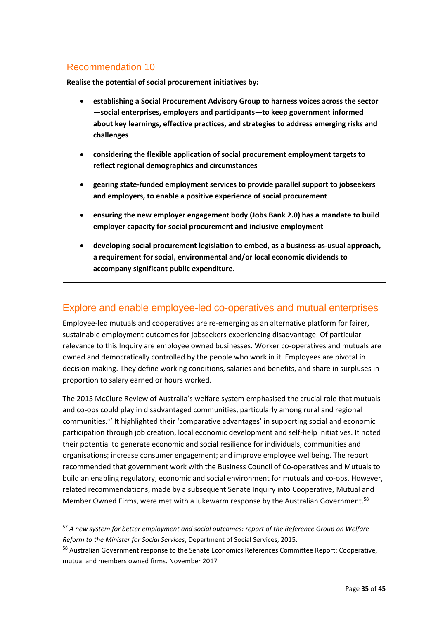#### Recommendation 10

**.** 

**Realise the potential of social procurement initiatives by:**

- **establishing a Social Procurement Advisory Group to harness voices across the sector —social enterprises, employers and participants—to keep government informed about key learnings, effective practices, and strategies to address emerging risks and challenges**
- **considering the flexible application of social procurement employment targets to reflect regional demographics and circumstances**
- **gearing state-funded employment services to provide parallel support to jobseekers and employers, to enable a positive experience of social procurement**
- **ensuring the new employer engagement body (Jobs Bank 2.0) has a mandate to build employer capacity for social procurement and inclusive employment**
- **developing social procurement legislation to embed, as a business-as-usual approach, a requirement for social, environmental and/or local economic dividends to accompany significant public expenditure.**

### Explore and enable employee-led co-operatives and mutual enterprises

Employee-led mutuals and cooperatives are re-emerging as an alternative platform for fairer, sustainable employment outcomes for jobseekers experiencing disadvantage. Of particular relevance to this Inquiry are employee owned businesses. Worker co-operatives and mutuals are owned and democratically controlled by the people who work in it. Employees are pivotal in decision-making. They define working conditions, salaries and benefits, and share in surpluses in proportion to salary earned or hours worked.

The 2015 McClure Review of Australia's welfare system emphasised the crucial role that mutuals and co-ops could play in disadvantaged communities, particularly among rural and regional communities.<sup>57</sup> It highlighted their 'comparative advantages' in supporting social and economic participation through job creation, local economic development and self-help initiatives. It noted their potential to generate economic and social resilience for individuals, communities and organisations; increase consumer engagement; and improve employee wellbeing. The report recommended that government work with the Business Council of Co-operatives and Mutuals to build an enabling regulatory, economic and social environment for mutuals and co-ops. However, related recommendations, made by a subsequent Senate Inquiry into Cooperative, Mutual and Member Owned Firms, were met with a lukewarm response by the Australian Government.<sup>58</sup>

<sup>57</sup> *A new system for better employment and social outcomes: report of the Reference Group on Welfare Reform to the Minister for Social Services*, Department of Social Services, 2015.

<sup>&</sup>lt;sup>58</sup> Australian Government response to the Senate Economics References Committee Report: Cooperative, mutual and members owned firms. November 2017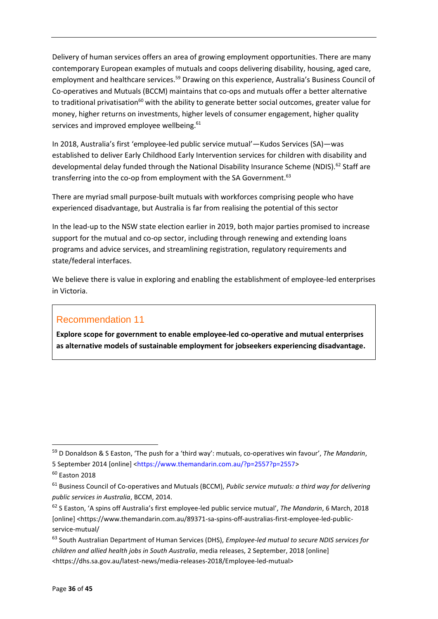Delivery of human services offers an area of growing employment opportunities. There are many contemporary European examples of mutuals and coops delivering disability, housing, aged care, employment and healthcare services.<sup>59</sup> Drawing on this experience, Australia's Business Council of Co-operatives and Mutuals (BCCM) maintains that co-ops and mutuals offer a better alternative to traditional privatisation<sup>60</sup> with the ability to generate better social outcomes, greater value for money, higher returns on investments, higher levels of consumer engagement, higher quality services and improved employee wellbeing.<sup>61</sup>

In 2018, Australia's first 'employee-led public service mutual'—Kudos Services (SA)—was established to deliver Early Childhood Early Intervention services for children with disability and developmental delay funded through the National Disability Insurance Scheme (NDIS).<sup>62</sup> Staff are transferring into the co-op from employment with the SA Government.<sup>63</sup>

There are myriad small purpose-built mutuals with workforces comprising people who have experienced disadvantage, but Australia is far from realising the potential of this sector

In the lead-up to the NSW state election earlier in 2019, both major parties promised to increase support for the mutual and co-op sector, including through renewing and extending loans programs and advice services, and streamlining registration, regulatory requirements and state/federal interfaces.

We believe there is value in exploring and enabling the establishment of employee-led enterprises in Victoria.

### Recommendation 11

**Explore scope for government to enable employee-led co-operative and mutual enterprises as alternative models of sustainable employment for jobseekers experiencing disadvantage.**

<sup>59</sup> D Donaldson & S Easton, 'The push for a 'third way': mutuals, co-operatives win favour', *The Mandarin*, 5 September 2014 [online] [<https://www.themandarin.com.au/?p=2557?p=2557>](https://www.themandarin.com.au/?p=2557?p=2557)

 $60$  Faston 2018

<sup>61</sup> Business Council of Co-operatives and Mutuals (BCCM), *Public service mutuals: a third way for delivering public services in Australia*, BCCM, 2014.

<sup>62</sup> S Easton, 'A spins off Australia's first employee-led public service mutual', *The Mandarin*, 6 March, 2018 [online] [<https://www.themandarin.com.au/89371-sa-spins-off-australias-first-employee-led-public](https://www.themandarin.com.au/89371-sa-spins-off-australias-first-employee-led-public-service-mutual/)[service-mutual/](https://www.themandarin.com.au/89371-sa-spins-off-australias-first-employee-led-public-service-mutual/)

<sup>63</sup> South Australian Department of Human Services (DHS), *Employee-led mutual to secure NDIS services for children and allied health jobs in South Australia*, media releases, 2 September, 2018 [online] <https://dhs.sa.gov.au/latest-news/media-releases-2018/Employee-led-mutual>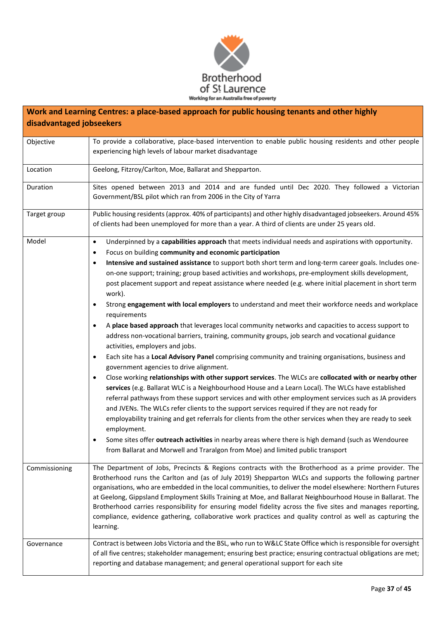

| Work and Learning Centres: a place-based approach for public housing tenants and other highly<br>disadvantaged jobseekers |                                                                                                                                                                                                                                                                                                                                                                                                                                                                                                                                                                                                                                                                                   |  |
|---------------------------------------------------------------------------------------------------------------------------|-----------------------------------------------------------------------------------------------------------------------------------------------------------------------------------------------------------------------------------------------------------------------------------------------------------------------------------------------------------------------------------------------------------------------------------------------------------------------------------------------------------------------------------------------------------------------------------------------------------------------------------------------------------------------------------|--|
|                                                                                                                           |                                                                                                                                                                                                                                                                                                                                                                                                                                                                                                                                                                                                                                                                                   |  |
| Objective                                                                                                                 | To provide a collaborative, place-based intervention to enable public housing residents and other people<br>experiencing high levels of labour market disadvantage                                                                                                                                                                                                                                                                                                                                                                                                                                                                                                                |  |
| Location                                                                                                                  | Geelong, Fitzroy/Carlton, Moe, Ballarat and Shepparton.                                                                                                                                                                                                                                                                                                                                                                                                                                                                                                                                                                                                                           |  |
| Duration                                                                                                                  | Sites opened between 2013 and 2014 and are funded until Dec 2020. They followed a Victorian<br>Government/BSL pilot which ran from 2006 in the City of Yarra                                                                                                                                                                                                                                                                                                                                                                                                                                                                                                                      |  |
| Target group                                                                                                              | Public housing residents (approx. 40% of participants) and other highly disadvantaged jobseekers. Around 45%<br>of clients had been unemployed for more than a year. A third of clients are under 25 years old.                                                                                                                                                                                                                                                                                                                                                                                                                                                                   |  |
| Model                                                                                                                     | Underpinned by a capabilities approach that meets individual needs and aspirations with opportunity.<br>$\bullet$                                                                                                                                                                                                                                                                                                                                                                                                                                                                                                                                                                 |  |
|                                                                                                                           | Focus on building community and economic participation<br>$\bullet$                                                                                                                                                                                                                                                                                                                                                                                                                                                                                                                                                                                                               |  |
|                                                                                                                           | Intensive and sustained assistance to support both short term and long-term career goals. Includes one-<br>$\bullet$                                                                                                                                                                                                                                                                                                                                                                                                                                                                                                                                                              |  |
|                                                                                                                           | on-one support; training; group based activities and workshops, pre-employment skills development,<br>post placement support and repeat assistance where needed (e.g. where initial placement in short term                                                                                                                                                                                                                                                                                                                                                                                                                                                                       |  |
|                                                                                                                           | work).<br>Strong engagement with local employers to understand and meet their workforce needs and workplace<br>$\bullet$<br>requirements                                                                                                                                                                                                                                                                                                                                                                                                                                                                                                                                          |  |
|                                                                                                                           | A place based approach that leverages local community networks and capacities to access support to<br>$\bullet$                                                                                                                                                                                                                                                                                                                                                                                                                                                                                                                                                                   |  |
|                                                                                                                           | address non-vocational barriers, training, community groups, job search and vocational guidance<br>activities, employers and jobs.                                                                                                                                                                                                                                                                                                                                                                                                                                                                                                                                                |  |
|                                                                                                                           | Each site has a Local Advisory Panel comprising community and training organisations, business and<br>$\bullet$<br>government agencies to drive alignment.                                                                                                                                                                                                                                                                                                                                                                                                                                                                                                                        |  |
|                                                                                                                           | Close working relationships with other support services. The WLCs are collocated with or nearby other<br>$\bullet$<br>services (e.g. Ballarat WLC is a Neighbourhood House and a Learn Local). The WLCs have established                                                                                                                                                                                                                                                                                                                                                                                                                                                          |  |
|                                                                                                                           | referral pathways from these support services and with other employment services such as JA providers<br>and JVENs. The WLCs refer clients to the support services required if they are not ready for                                                                                                                                                                                                                                                                                                                                                                                                                                                                             |  |
|                                                                                                                           | employability training and get referrals for clients from the other services when they are ready to seek<br>employment.                                                                                                                                                                                                                                                                                                                                                                                                                                                                                                                                                           |  |
|                                                                                                                           | Some sites offer outreach activities in nearby areas where there is high demand (such as Wendouree<br>from Ballarat and Morwell and Traralgon from Moe) and limited public transport                                                                                                                                                                                                                                                                                                                                                                                                                                                                                              |  |
| Commissioning                                                                                                             | The Department of Jobs, Precincts & Regions contracts with the Brotherhood as a prime provider. The<br>Brotherhood runs the Carlton and (as of July 2019) Shepparton WLCs and supports the following partner<br>organisations, who are embedded in the local communities, to deliver the model elsewhere: Northern Futures<br>at Geelong, Gippsland Employment Skills Training at Moe, and Ballarat Neighbourhood House in Ballarat. The<br>Brotherhood carries responsibility for ensuring model fidelity across the five sites and manages reporting,<br>compliance, evidence gathering, collaborative work practices and quality control as well as capturing the<br>learning. |  |
| Governance                                                                                                                | Contract is between Jobs Victoria and the BSL, who run to W&LC State Office which is responsible for oversight<br>of all five centres; stakeholder management; ensuring best practice; ensuring contractual obligations are met;<br>reporting and database management; and general operational support for each site                                                                                                                                                                                                                                                                                                                                                              |  |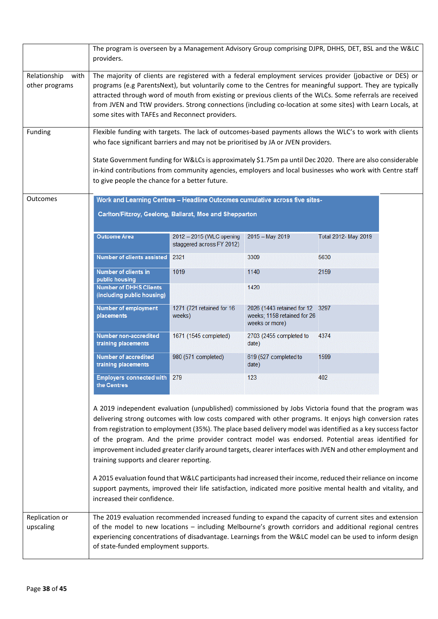|                                        | The program is overseen by a Management Advisory Group comprising DJPR, DHHS, DET, BSL and the W&LC<br>providers.                                                                                                                                                                                                                                                                                                                                                                                                                                                                                                                                                                                                                                                                                                                                                                                                                                                       |                                                                                                                                       |                                                                             |                      |  |
|----------------------------------------|-------------------------------------------------------------------------------------------------------------------------------------------------------------------------------------------------------------------------------------------------------------------------------------------------------------------------------------------------------------------------------------------------------------------------------------------------------------------------------------------------------------------------------------------------------------------------------------------------------------------------------------------------------------------------------------------------------------------------------------------------------------------------------------------------------------------------------------------------------------------------------------------------------------------------------------------------------------------------|---------------------------------------------------------------------------------------------------------------------------------------|-----------------------------------------------------------------------------|----------------------|--|
| Relationship<br>with<br>other programs | The majority of clients are registered with a federal employment services provider (jobactive or DES) or<br>programs (e.g ParentsNext), but voluntarily come to the Centres for meaningful support. They are typically<br>attracted through word of mouth from existing or previous clients of the WLCs. Some referrals are received<br>from JVEN and TtW providers. Strong connections (including co-location at some sites) with Learn Locals, at<br>some sites with TAFEs and Reconnect providers.                                                                                                                                                                                                                                                                                                                                                                                                                                                                   |                                                                                                                                       |                                                                             |                      |  |
| Funding                                | Flexible funding with targets. The lack of outcomes-based payments allows the WLC's to work with clients<br>who face significant barriers and may not be prioritised by JA or JVEN providers.                                                                                                                                                                                                                                                                                                                                                                                                                                                                                                                                                                                                                                                                                                                                                                           |                                                                                                                                       |                                                                             |                      |  |
|                                        | State Government funding for W&LCs is approximately \$1.75m pa until Dec 2020. There are also considerable<br>in-kind contributions from community agencies, employers and local businesses who work with Centre staff<br>to give people the chance for a better future.                                                                                                                                                                                                                                                                                                                                                                                                                                                                                                                                                                                                                                                                                                |                                                                                                                                       |                                                                             |                      |  |
| <b>Outcomes</b>                        |                                                                                                                                                                                                                                                                                                                                                                                                                                                                                                                                                                                                                                                                                                                                                                                                                                                                                                                                                                         | Work and Learning Centres - Headline Outcomes cumulative across five sites-<br>Carlton/Fitzroy, Geelong, Ballarat, Moe and Shepparton |                                                                             |                      |  |
|                                        | <b>Outcome Area</b>                                                                                                                                                                                                                                                                                                                                                                                                                                                                                                                                                                                                                                                                                                                                                                                                                                                                                                                                                     | 2012 - 2015 (WLC opening<br>staggered across FY 2012)                                                                                 | 2015 - May 2019                                                             | Total 2012- May 2019 |  |
|                                        | Number of clients assisted                                                                                                                                                                                                                                                                                                                                                                                                                                                                                                                                                                                                                                                                                                                                                                                                                                                                                                                                              | 2321                                                                                                                                  | 3309                                                                        | 5630                 |  |
|                                        | Number of clients in<br>public housing                                                                                                                                                                                                                                                                                                                                                                                                                                                                                                                                                                                                                                                                                                                                                                                                                                                                                                                                  | 1019                                                                                                                                  | 1140                                                                        | 2159                 |  |
|                                        | <b>Number of DHHS Clients</b><br>(including public housing)                                                                                                                                                                                                                                                                                                                                                                                                                                                                                                                                                                                                                                                                                                                                                                                                                                                                                                             |                                                                                                                                       | 1420                                                                        |                      |  |
|                                        | <b>Number of employment</b><br>placements                                                                                                                                                                                                                                                                                                                                                                                                                                                                                                                                                                                                                                                                                                                                                                                                                                                                                                                               | 1271 (721 retained for 16<br>weeks)                                                                                                   | 2026 (1443 retained for 12<br>weeks; 1158 retained for 26<br>weeks or more) | 3297                 |  |
|                                        | Number non-accredited<br>training placements                                                                                                                                                                                                                                                                                                                                                                                                                                                                                                                                                                                                                                                                                                                                                                                                                                                                                                                            | 1671 (1545 completed)                                                                                                                 | 2703 (2455 completed to<br>date)                                            | 4374                 |  |
|                                        | Number of accredited<br>training placements                                                                                                                                                                                                                                                                                                                                                                                                                                                                                                                                                                                                                                                                                                                                                                                                                                                                                                                             | 980 (571 completed)                                                                                                                   | 619 (527 completed to<br>date)                                              | 1599                 |  |
|                                        | <b>Employers connected with</b><br>the Centres                                                                                                                                                                                                                                                                                                                                                                                                                                                                                                                                                                                                                                                                                                                                                                                                                                                                                                                          | 279                                                                                                                                   | 123                                                                         | 402                  |  |
| Replication or                         | A 2019 independent evaluation (unpublished) commissioned by Jobs Victoria found that the program was<br>delivering strong outcomes with low costs compared with other programs. It enjoys high conversion rates<br>from registration to employment (35%). The place based delivery model was identified as a key success factor<br>of the program. And the prime provider contract model was endorsed. Potential areas identified for<br>improvement included greater clarify around targets, clearer interfaces with JVEN and other employment and<br>training supports and clearer reporting.<br>A 2015 evaluation found that W&LC participants had increased their income, reduced their reliance on income<br>support payments, improved their life satisfaction, indicated more positive mental health and vitality, and<br>increased their confidence.<br>The 2019 evaluation recommended increased funding to expand the capacity of current sites and extension |                                                                                                                                       |                                                                             |                      |  |
| upscaling                              | of the model to new locations - including Melbourne's growth corridors and additional regional centres<br>experiencing concentrations of disadvantage. Learnings from the W&LC model can be used to inform design<br>of state-funded employment supports.                                                                                                                                                                                                                                                                                                                                                                                                                                                                                                                                                                                                                                                                                                               |                                                                                                                                       |                                                                             |                      |  |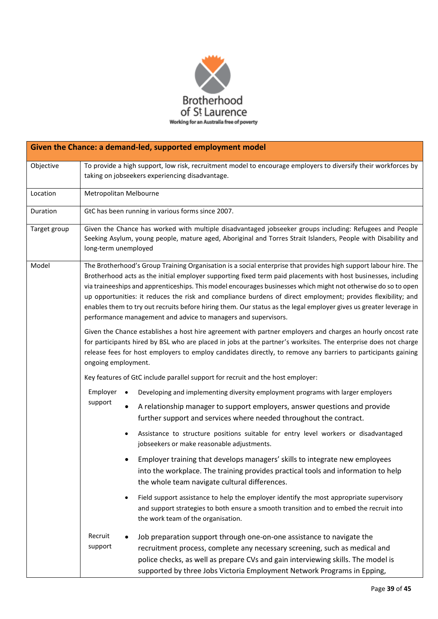

| Given the Chance: a demand-led, supported employment model |                                                                                                                                                                                                                                                                                                                                                                                                                                                                                                                                                                                                                                                                                                                                                                                                                                                                                                                                                                                                                 |                                                                                                                                                                                                                                                                                                                    |  |
|------------------------------------------------------------|-----------------------------------------------------------------------------------------------------------------------------------------------------------------------------------------------------------------------------------------------------------------------------------------------------------------------------------------------------------------------------------------------------------------------------------------------------------------------------------------------------------------------------------------------------------------------------------------------------------------------------------------------------------------------------------------------------------------------------------------------------------------------------------------------------------------------------------------------------------------------------------------------------------------------------------------------------------------------------------------------------------------|--------------------------------------------------------------------------------------------------------------------------------------------------------------------------------------------------------------------------------------------------------------------------------------------------------------------|--|
| Objective                                                  | To provide a high support, low risk, recruitment model to encourage employers to diversify their workforces by<br>taking on jobseekers experiencing disadvantage.                                                                                                                                                                                                                                                                                                                                                                                                                                                                                                                                                                                                                                                                                                                                                                                                                                               |                                                                                                                                                                                                                                                                                                                    |  |
| Location                                                   |                                                                                                                                                                                                                                                                                                                                                                                                                                                                                                                                                                                                                                                                                                                                                                                                                                                                                                                                                                                                                 | Metropolitan Melbourne                                                                                                                                                                                                                                                                                             |  |
| Duration                                                   |                                                                                                                                                                                                                                                                                                                                                                                                                                                                                                                                                                                                                                                                                                                                                                                                                                                                                                                                                                                                                 | GtC has been running in various forms since 2007.                                                                                                                                                                                                                                                                  |  |
| Target group                                               | Given the Chance has worked with multiple disadvantaged jobseeker groups including: Refugees and People<br>Seeking Asylum, young people, mature aged, Aboriginal and Torres Strait Islanders, People with Disability and<br>long-term unemployed                                                                                                                                                                                                                                                                                                                                                                                                                                                                                                                                                                                                                                                                                                                                                                |                                                                                                                                                                                                                                                                                                                    |  |
| Model                                                      | The Brotherhood's Group Training Organisation is a social enterprise that provides high support labour hire. The<br>Brotherhood acts as the initial employer supporting fixed term paid placements with host businesses, including<br>via traineeships and apprenticeships. This model encourages businesses which might not otherwise do so to open<br>up opportunities: it reduces the risk and compliance burdens of direct employment; provides flexibility; and<br>enables them to try out recruits before hiring them. Our status as the legal employer gives us greater leverage in<br>performance management and advice to managers and supervisors.<br>Given the Chance establishes a host hire agreement with partner employers and charges an hourly oncost rate<br>for participants hired by BSL who are placed in jobs at the partner's worksites. The enterprise does not charge<br>release fees for host employers to employ candidates directly, to remove any barriers to participants gaining |                                                                                                                                                                                                                                                                                                                    |  |
|                                                            | ongoing employment.<br>Key features of GtC include parallel support for recruit and the host employer:                                                                                                                                                                                                                                                                                                                                                                                                                                                                                                                                                                                                                                                                                                                                                                                                                                                                                                          |                                                                                                                                                                                                                                                                                                                    |  |
|                                                            | Employer<br>support                                                                                                                                                                                                                                                                                                                                                                                                                                                                                                                                                                                                                                                                                                                                                                                                                                                                                                                                                                                             | Developing and implementing diversity employment programs with larger employers                                                                                                                                                                                                                                    |  |
|                                                            |                                                                                                                                                                                                                                                                                                                                                                                                                                                                                                                                                                                                                                                                                                                                                                                                                                                                                                                                                                                                                 | A relationship manager to support employers, answer questions and provide<br>further support and services where needed throughout the contract.                                                                                                                                                                    |  |
|                                                            |                                                                                                                                                                                                                                                                                                                                                                                                                                                                                                                                                                                                                                                                                                                                                                                                                                                                                                                                                                                                                 | Assistance to structure positions suitable for entry level workers or disadvantaged<br>jobseekers or make reasonable adjustments.                                                                                                                                                                                  |  |
|                                                            |                                                                                                                                                                                                                                                                                                                                                                                                                                                                                                                                                                                                                                                                                                                                                                                                                                                                                                                                                                                                                 | Employer training that develops managers' skills to integrate new employees<br>into the workplace. The training provides practical tools and information to help<br>the whole team navigate cultural differences.                                                                                                  |  |
|                                                            |                                                                                                                                                                                                                                                                                                                                                                                                                                                                                                                                                                                                                                                                                                                                                                                                                                                                                                                                                                                                                 | Field support assistance to help the employer identify the most appropriate supervisory<br>and support strategies to both ensure a smooth transition and to embed the recruit into<br>the work team of the organisation.                                                                                           |  |
|                                                            | Recruit<br>support                                                                                                                                                                                                                                                                                                                                                                                                                                                                                                                                                                                                                                                                                                                                                                                                                                                                                                                                                                                              | Job preparation support through one-on-one assistance to navigate the<br>recruitment process, complete any necessary screening, such as medical and<br>police checks, as well as prepare CVs and gain interviewing skills. The model is<br>supported by three Jobs Victoria Employment Network Programs in Epping, |  |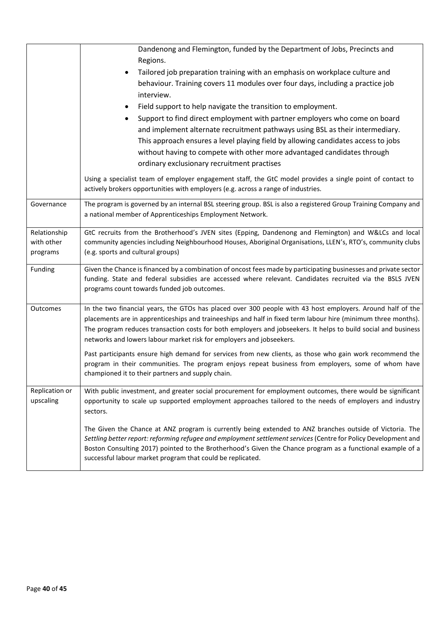|                                        | Dandenong and Flemington, funded by the Department of Jobs, Precincts and<br>Regions.<br>Tailored job preparation training with an emphasis on workplace culture and<br>behaviour. Training covers 11 modules over four days, including a practice job<br>interview.<br>Field support to help navigate the transition to employment.                                                                                  |
|----------------------------------------|-----------------------------------------------------------------------------------------------------------------------------------------------------------------------------------------------------------------------------------------------------------------------------------------------------------------------------------------------------------------------------------------------------------------------|
|                                        | Support to find direct employment with partner employers who come on board<br>and implement alternate recruitment pathways using BSL as their intermediary.<br>This approach ensures a level playing field by allowing candidates access to jobs<br>without having to compete with other more advantaged candidates through<br>ordinary exclusionary recruitment practises                                            |
|                                        | Using a specialist team of employer engagement staff, the GtC model provides a single point of contact to<br>actively brokers opportunities with employers (e.g. across a range of industries.                                                                                                                                                                                                                        |
| Governance                             | The program is governed by an internal BSL steering group. BSL is also a registered Group Training Company and<br>a national member of Apprenticeships Employment Network.                                                                                                                                                                                                                                            |
| Relationship<br>with other<br>programs | GtC recruits from the Brotherhood's JVEN sites (Epping, Dandenong and Flemington) and W&LCs and local<br>community agencies including Neighbourhood Houses, Aboriginal Organisations, LLEN's, RTO's, community clubs<br>(e.g. sports and cultural groups)                                                                                                                                                             |
| Funding                                | Given the Chance is financed by a combination of oncost fees made by participating businesses and private sector<br>funding. State and federal subsidies are accessed where relevant. Candidates recruited via the BSLS JVEN<br>programs count towards funded job outcomes.                                                                                                                                           |
| Outcomes                               | In the two financial years, the GTOs has placed over 300 people with 43 host employers. Around half of the<br>placements are in apprenticeships and traineeships and half in fixed term labour hire (minimum three months).<br>The program reduces transaction costs for both employers and jobseekers. It helps to build social and business<br>networks and lowers labour market risk for employers and jobseekers. |
|                                        | Past participants ensure high demand for services from new clients, as those who gain work recommend the<br>program in their communities. The program enjoys repeat business from employers, some of whom have<br>championed it to their partners and supply chain.                                                                                                                                                   |
| Replication or<br>upscaling            | With public investment, and greater social procurement for employment outcomes, there would be significant<br>opportunity to scale up supported employment approaches tailored to the needs of employers and industry<br>sectors.                                                                                                                                                                                     |
|                                        | The Given the Chance at ANZ program is currently being extended to ANZ branches outside of Victoria. The<br>Settling better report: reforming refugee and employment settlement services (Centre for Policy Development and<br>Boston Consulting 2017) pointed to the Brotherhood's Given the Chance program as a functional example of a<br>successful labour market program that could be replicated.               |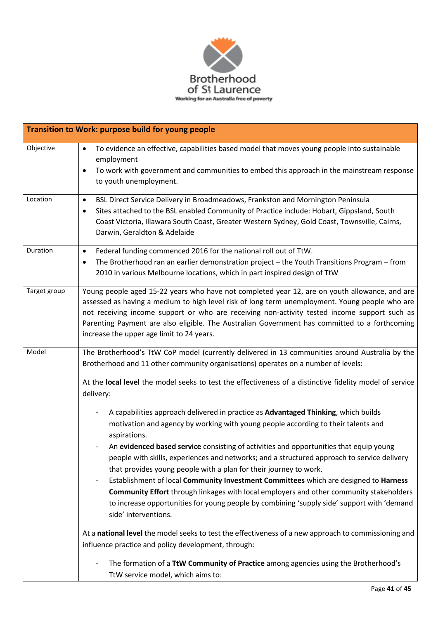

|              | Transition to Work: purpose build for young people                                                                                                                                                                                                                                                                                                                                                                                            |
|--------------|-----------------------------------------------------------------------------------------------------------------------------------------------------------------------------------------------------------------------------------------------------------------------------------------------------------------------------------------------------------------------------------------------------------------------------------------------|
| Objective    | To evidence an effective, capabilities based model that moves young people into sustainable<br>$\bullet$<br>employment<br>To work with government and communities to embed this approach in the mainstream response<br>to youth unemployment.                                                                                                                                                                                                 |
|              |                                                                                                                                                                                                                                                                                                                                                                                                                                               |
| Location     | BSL Direct Service Delivery in Broadmeadows, Frankston and Mornington Peninsula<br>$\bullet$<br>Sites attached to the BSL enabled Community of Practice include: Hobart, Gippsland, South<br>$\bullet$<br>Coast Victoria, Illawara South Coast, Greater Western Sydney, Gold Coast, Townsville, Cairns,<br>Darwin, Geraldton & Adelaide                                                                                                       |
| Duration     | Federal funding commenced 2016 for the national roll out of TtW.<br>$\bullet$                                                                                                                                                                                                                                                                                                                                                                 |
|              | The Brotherhood ran an earlier demonstration project - the Youth Transitions Program - from<br>$\bullet$<br>2010 in various Melbourne locations, which in part inspired design of TtW                                                                                                                                                                                                                                                         |
| Target group | Young people aged 15-22 years who have not completed year 12, are on youth allowance, and are<br>assessed as having a medium to high level risk of long term unemployment. Young people who are<br>not receiving income support or who are receiving non-activity tested income support such as<br>Parenting Payment are also eligible. The Australian Government has committed to a forthcoming<br>increase the upper age limit to 24 years. |
| Model        | The Brotherhood's TtW CoP model (currently delivered in 13 communities around Australia by the                                                                                                                                                                                                                                                                                                                                                |
|              | Brotherhood and 11 other community organisations) operates on a number of levels:                                                                                                                                                                                                                                                                                                                                                             |
|              | At the local level the model seeks to test the effectiveness of a distinctive fidelity model of service<br>delivery:                                                                                                                                                                                                                                                                                                                          |
|              | A capabilities approach delivered in practice as Advantaged Thinking, which builds                                                                                                                                                                                                                                                                                                                                                            |
|              | motivation and agency by working with young people according to their talents and<br>aspirations.                                                                                                                                                                                                                                                                                                                                             |
|              | An evidenced based service consisting of activities and opportunities that equip young<br>people with skills, experiences and networks; and a structured approach to service delivery<br>that provides young people with a plan for their journey to work.                                                                                                                                                                                    |
|              | Establishment of local Community Investment Committees which are designed to Harness                                                                                                                                                                                                                                                                                                                                                          |
|              | Community Effort through linkages with local employers and other community stakeholders                                                                                                                                                                                                                                                                                                                                                       |
|              | to increase opportunities for young people by combining 'supply side' support with 'demand<br>side' interventions.                                                                                                                                                                                                                                                                                                                            |
|              | At a national level the model seeks to test the effectiveness of a new approach to commissioning and                                                                                                                                                                                                                                                                                                                                          |
|              | influence practice and policy development, through:                                                                                                                                                                                                                                                                                                                                                                                           |
|              | The formation of a TtW Community of Practice among agencies using the Brotherhood's<br>TtW service model, which aims to:                                                                                                                                                                                                                                                                                                                      |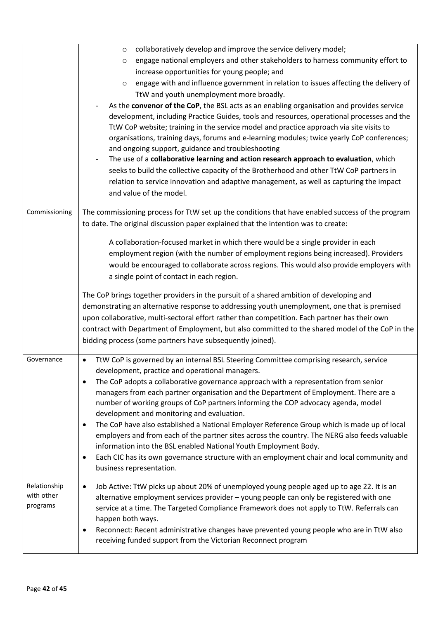|                                        | collaboratively develop and improve the service delivery model;<br>$\circ$<br>engage national employers and other stakeholders to harness community effort to<br>$\circ$<br>increase opportunities for young people; and<br>engage with and influence government in relation to issues affecting the delivery of<br>$\circ$<br>TtW and youth unemployment more broadly.<br>As the convenor of the CoP, the BSL acts as an enabling organisation and provides service<br>development, including Practice Guides, tools and resources, operational processes and the<br>TtW CoP website; training in the service model and practice approach via site visits to<br>organisations, training days, forums and e-learning modules; twice yearly CoP conferences;<br>and ongoing support, guidance and troubleshooting<br>The use of a collaborative learning and action research approach to evaluation, which<br>seeks to build the collective capacity of the Brotherhood and other TtW CoP partners in |
|----------------------------------------|------------------------------------------------------------------------------------------------------------------------------------------------------------------------------------------------------------------------------------------------------------------------------------------------------------------------------------------------------------------------------------------------------------------------------------------------------------------------------------------------------------------------------------------------------------------------------------------------------------------------------------------------------------------------------------------------------------------------------------------------------------------------------------------------------------------------------------------------------------------------------------------------------------------------------------------------------------------------------------------------------|
|                                        | relation to service innovation and adaptive management, as well as capturing the impact<br>and value of the model.                                                                                                                                                                                                                                                                                                                                                                                                                                                                                                                                                                                                                                                                                                                                                                                                                                                                                   |
| Commissioning                          | The commissioning process for TtW set up the conditions that have enabled success of the program<br>to date. The original discussion paper explained that the intention was to create:                                                                                                                                                                                                                                                                                                                                                                                                                                                                                                                                                                                                                                                                                                                                                                                                               |
|                                        | A collaboration-focused market in which there would be a single provider in each<br>employment region (with the number of employment regions being increased). Providers<br>would be encouraged to collaborate across regions. This would also provide employers with<br>a single point of contact in each region.                                                                                                                                                                                                                                                                                                                                                                                                                                                                                                                                                                                                                                                                                   |
|                                        | The CoP brings together providers in the pursuit of a shared ambition of developing and<br>demonstrating an alternative response to addressing youth unemployment, one that is premised<br>upon collaborative, multi-sectoral effort rather than competition. Each partner has their own<br>contract with Department of Employment, but also committed to the shared model of the CoP in the<br>bidding process (some partners have subsequently joined).                                                                                                                                                                                                                                                                                                                                                                                                                                                                                                                                            |
| Governance                             | TtW CoP is governed by an internal BSL Steering Committee comprising research, service<br>$\bullet$<br>development, practice and operational managers.<br>The CoP adopts a collaborative governance approach with a representation from senior<br>$\bullet$<br>managers from each partner organisation and the Department of Employment. There are a<br>number of working groups of CoP partners informing the COP advocacy agenda, model<br>development and monitoring and evaluation.<br>The CoP have also established a National Employer Reference Group which is made up of local<br>٠<br>employers and from each of the partner sites across the country. The NERG also feeds valuable<br>information into the BSL enabled National Youth Employment Body.<br>Each CIC has its own governance structure with an employment chair and local community and<br>٠<br>business representation.                                                                                                      |
| Relationship<br>with other<br>programs | Job Active: TtW picks up about 20% of unemployed young people aged up to age 22. It is an<br>$\bullet$<br>alternative employment services provider - young people can only be registered with one<br>service at a time. The Targeted Compliance Framework does not apply to TtW. Referrals can<br>happen both ways.<br>Reconnect: Recent administrative changes have prevented young people who are in TtW also<br>$\bullet$<br>receiving funded support from the Victorian Reconnect program                                                                                                                                                                                                                                                                                                                                                                                                                                                                                                        |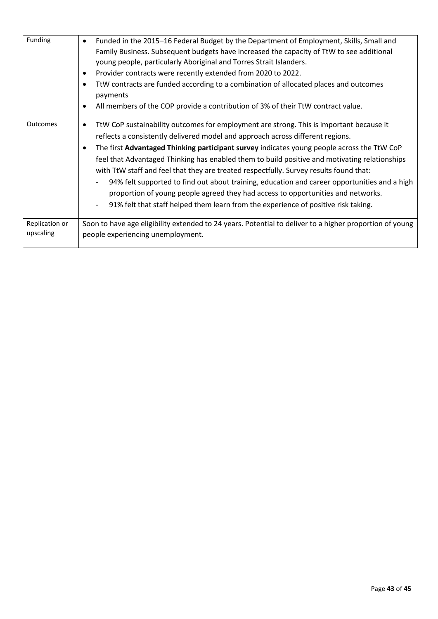| Funding                     | Funded in the 2015-16 Federal Budget by the Department of Employment, Skills, Small and<br>Family Business. Subsequent budgets have increased the capacity of TtW to see additional<br>young people, particularly Aboriginal and Torres Strait Islanders.<br>Provider contracts were recently extended from 2020 to 2022.<br>TtW contracts are funded according to a combination of allocated places and outcomes<br>payments<br>All members of the COP provide a contribution of 3% of their TtW contract value.                                                                                                                                                                                                                                                                     |
|-----------------------------|---------------------------------------------------------------------------------------------------------------------------------------------------------------------------------------------------------------------------------------------------------------------------------------------------------------------------------------------------------------------------------------------------------------------------------------------------------------------------------------------------------------------------------------------------------------------------------------------------------------------------------------------------------------------------------------------------------------------------------------------------------------------------------------|
| <b>Outcomes</b>             | TtW CoP sustainability outcomes for employment are strong. This is important because it<br>$\bullet$<br>reflects a consistently delivered model and approach across different regions.<br>The first Advantaged Thinking participant survey indicates young people across the TtW CoP<br>feel that Advantaged Thinking has enabled them to build positive and motivating relationships<br>with TtW staff and feel that they are treated respectfully. Survey results found that:<br>94% felt supported to find out about training, education and career opportunities and a high<br>$\overline{\phantom{a}}$<br>proportion of young people agreed they had access to opportunities and networks.<br>91% felt that staff helped them learn from the experience of positive risk taking. |
| Replication or<br>upscaling | Soon to have age eligibility extended to 24 years. Potential to deliver to a higher proportion of young<br>people experiencing unemployment.                                                                                                                                                                                                                                                                                                                                                                                                                                                                                                                                                                                                                                          |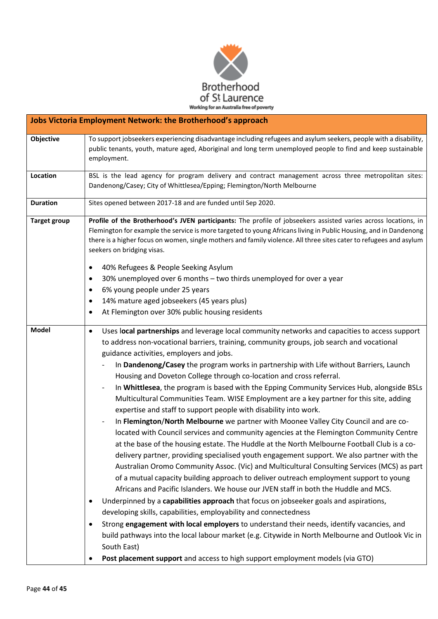

|                     | <b>Jobs Victoria Employment Network: the Brotherhood's approach</b>                                                                                                                                                                                                                                                                                                                                                                                                                                                                                                                                                                                                                                                                                                                                                                                                                                                                                                                                                                                                                                                                                                                                                                                                                                                                                                                                                                                                                                                                                                                                                                                                                                                                                                                                                                |
|---------------------|------------------------------------------------------------------------------------------------------------------------------------------------------------------------------------------------------------------------------------------------------------------------------------------------------------------------------------------------------------------------------------------------------------------------------------------------------------------------------------------------------------------------------------------------------------------------------------------------------------------------------------------------------------------------------------------------------------------------------------------------------------------------------------------------------------------------------------------------------------------------------------------------------------------------------------------------------------------------------------------------------------------------------------------------------------------------------------------------------------------------------------------------------------------------------------------------------------------------------------------------------------------------------------------------------------------------------------------------------------------------------------------------------------------------------------------------------------------------------------------------------------------------------------------------------------------------------------------------------------------------------------------------------------------------------------------------------------------------------------------------------------------------------------------------------------------------------------|
| Objective           | To support jobseekers experiencing disadvantage including refugees and asylum seekers, people with a disability,<br>public tenants, youth, mature aged, Aboriginal and long term unemployed people to find and keep sustainable<br>employment.                                                                                                                                                                                                                                                                                                                                                                                                                                                                                                                                                                                                                                                                                                                                                                                                                                                                                                                                                                                                                                                                                                                                                                                                                                                                                                                                                                                                                                                                                                                                                                                     |
| Location            | BSL is the lead agency for program delivery and contract management across three metropolitan sites:<br>Dandenong/Casey; City of Whittlesea/Epping; Flemington/North Melbourne                                                                                                                                                                                                                                                                                                                                                                                                                                                                                                                                                                                                                                                                                                                                                                                                                                                                                                                                                                                                                                                                                                                                                                                                                                                                                                                                                                                                                                                                                                                                                                                                                                                     |
| <b>Duration</b>     | Sites opened between 2017-18 and are funded until Sep 2020.                                                                                                                                                                                                                                                                                                                                                                                                                                                                                                                                                                                                                                                                                                                                                                                                                                                                                                                                                                                                                                                                                                                                                                                                                                                                                                                                                                                                                                                                                                                                                                                                                                                                                                                                                                        |
| <b>Target group</b> | Profile of the Brotherhood's JVEN participants: The profile of jobseekers assisted varies across locations, in<br>Flemington for example the service is more targeted to young Africans living in Public Housing, and in Dandenong<br>there is a higher focus on women, single mothers and family violence. All three sites cater to refugees and asylum<br>seekers on bridging visas.<br>40% Refugees & People Seeking Asylum<br>$\bullet$<br>30% unemployed over 6 months - two thirds unemployed for over a year<br>$\bullet$<br>6% young people under 25 years<br>$\bullet$<br>14% mature aged jobseekers (45 years plus)<br>$\bullet$<br>At Flemington over 30% public housing residents<br>٠                                                                                                                                                                                                                                                                                                                                                                                                                                                                                                                                                                                                                                                                                                                                                                                                                                                                                                                                                                                                                                                                                                                                 |
| <b>Model</b>        | Uses local partnerships and leverage local community networks and capacities to access support<br>$\bullet$<br>to address non-vocational barriers, training, community groups, job search and vocational<br>guidance activities, employers and jobs.<br>In Dandenong/Casey the program works in partnership with Life without Barriers, Launch<br>Housing and Doveton College through co-location and cross referral.<br>In Whittlesea, the program is based with the Epping Community Services Hub, alongside BSLs<br>-<br>Multicultural Communities Team. WISE Employment are a key partner for this site, adding<br>expertise and staff to support people with disability into work.<br>In Flemington/North Melbourne we partner with Moonee Valley City Council and are co-<br>located with Council services and community agencies at the Flemington Community Centre<br>at the base of the housing estate. The Huddle at the North Melbourne Football Club is a co-<br>delivery partner, providing specialised youth engagement support. We also partner with the<br>Australian Oromo Community Assoc. (Vic) and Multicultural Consulting Services (MCS) as part<br>of a mutual capacity building approach to deliver outreach employment support to young<br>Africans and Pacific Islanders. We house our JVEN staff in both the Huddle and MCS.<br>Underpinned by a capabilities approach that focus on jobseeker goals and aspirations,<br>developing skills, capabilities, employability and connectedness<br>Strong engagement with local employers to understand their needs, identify vacancies, and<br>$\bullet$<br>build pathways into the local labour market (e.g. Citywide in North Melbourne and Outlook Vic in<br>South East)<br>Post placement support and access to high support employment models (via GTO) |